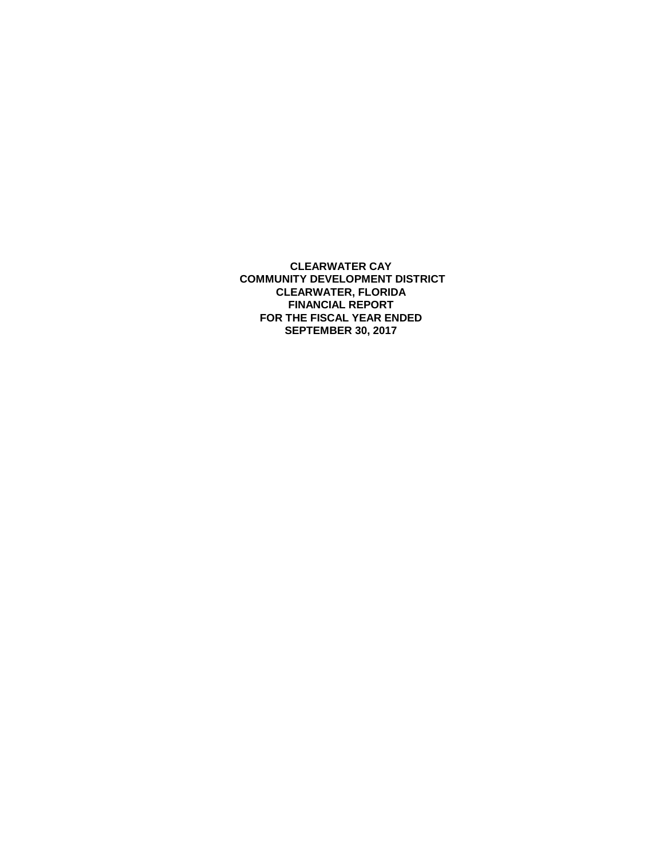**CLEARWATER CAY COMMUNITY DEVELOPMENT DISTRICT CLEARWATER, FLORIDA FINANCIAL REPORT FOR THE FISCAL YEAR ENDED SEPTEMBER 30, 2017**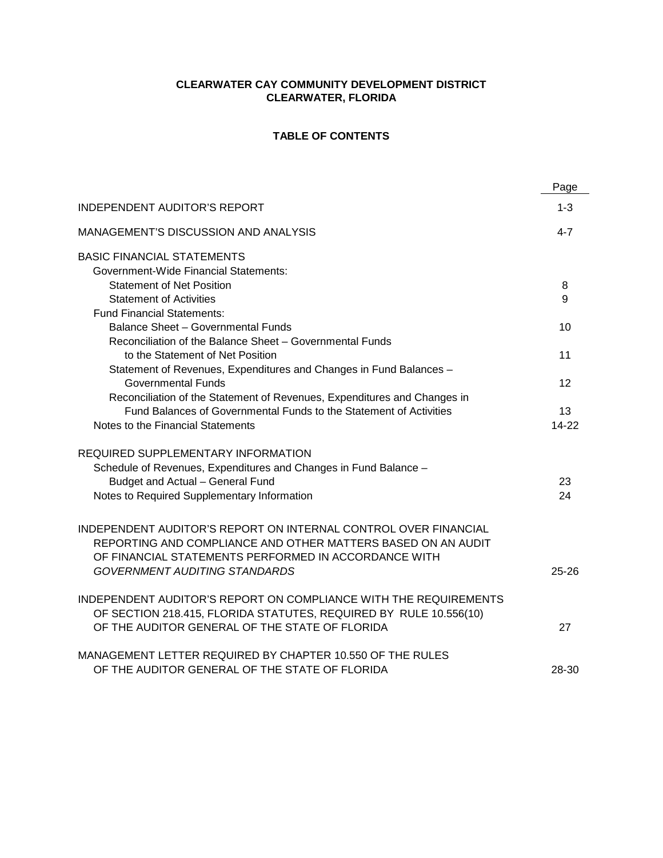# **CLEARWATER CAY COMMUNITY DEVELOPMENT DISTRICT CLEARWATER, FLORIDA**

# **TABLE OF CONTENTS**

|                                                                          | Page      |
|--------------------------------------------------------------------------|-----------|
| INDEPENDENT AUDITOR'S REPORT                                             | $1 - 3$   |
| <b>MANAGEMENT'S DISCUSSION AND ANALYSIS</b>                              | $4 - 7$   |
| <b>BASIC FINANCIAL STATEMENTS</b>                                        |           |
| Government-Wide Financial Statements:                                    |           |
| <b>Statement of Net Position</b>                                         | 8         |
| <b>Statement of Activities</b>                                           | 9         |
| <b>Fund Financial Statements:</b>                                        |           |
| Balance Sheet - Governmental Funds                                       | 10        |
| Reconciliation of the Balance Sheet - Governmental Funds                 |           |
| to the Statement of Net Position                                         | 11        |
| Statement of Revenues, Expenditures and Changes in Fund Balances -       |           |
| <b>Governmental Funds</b>                                                | 12        |
| Reconciliation of the Statement of Revenues, Expenditures and Changes in |           |
| Fund Balances of Governmental Funds to the Statement of Activities       | 13        |
| Notes to the Financial Statements                                        | 14-22     |
| REQUIRED SUPPLEMENTARY INFORMATION                                       |           |
| Schedule of Revenues, Expenditures and Changes in Fund Balance -         |           |
| Budget and Actual - General Fund                                         | 23        |
| Notes to Required Supplementary Information                              | 24        |
| INDEPENDENT AUDITOR'S REPORT ON INTERNAL CONTROL OVER FINANCIAL          |           |
| REPORTING AND COMPLIANCE AND OTHER MATTERS BASED ON AN AUDIT             |           |
| OF FINANCIAL STATEMENTS PERFORMED IN ACCORDANCE WITH                     |           |
| <b>GOVERNMENT AUDITING STANDARDS</b>                                     | $25 - 26$ |
|                                                                          |           |
| INDEPENDENT AUDITOR'S REPORT ON COMPLIANCE WITH THE REQUIREMENTS         |           |
| OF SECTION 218.415, FLORIDA STATUTES, REQUIRED BY RULE 10.556(10)        |           |
| OF THE AUDITOR GENERAL OF THE STATE OF FLORIDA                           | 27        |
| MANAGEMENT LETTER REQUIRED BY CHAPTER 10.550 OF THE RULES                |           |
| OF THE AUDITOR GENERAL OF THE STATE OF FLORIDA                           | 28-30     |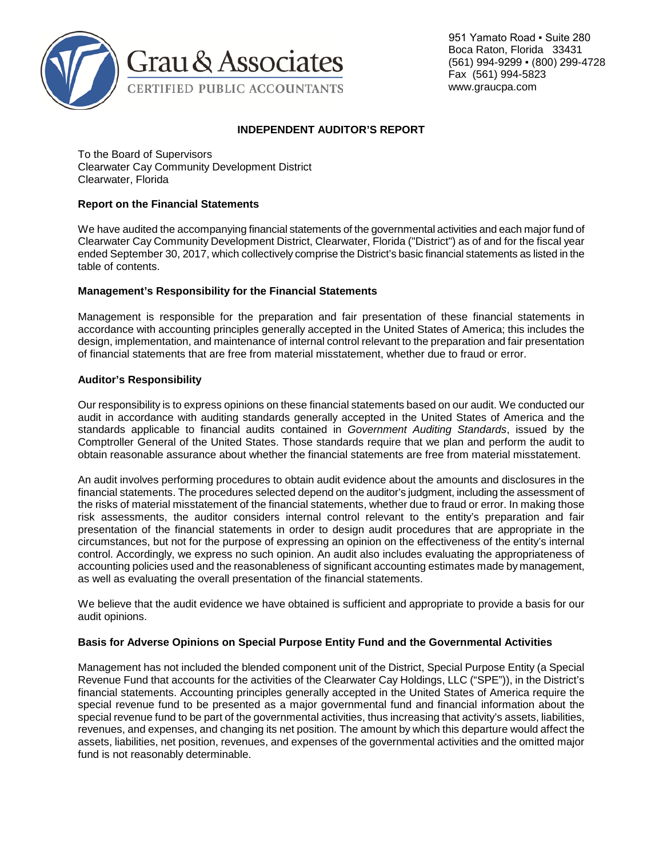

951 Yamato Road . Suite 280 Boca Raton, Florida 33431 (561) 994-9299 ▪ (800) 299-4728 Fax (561) 994-5823 www.graucpa.com

## **INDEPENDENT AUDITOR'S REPORT**

To the Board of Supervisors Clearwater Cay Community Development District Clearwater, Florida

## **Report on the Financial Statements**

We have audited the accompanying financial statements of the governmental activities and each major fund of Clearwater Cay Community Development District, Clearwater, Florida ("District") as of and for the fiscal year ended September 30, 2017, which collectively comprise the District's basic financial statements as listed in the table of contents.

## **Management's Responsibility for the Financial Statements**

Management is responsible for the preparation and fair presentation of these financial statements in accordance with accounting principles generally accepted in the United States of America; this includes the design, implementation, and maintenance of internal control relevant to the preparation and fair presentation of financial statements that are free from material misstatement, whether due to fraud or error.

## **Auditor's Responsibility**

Our responsibility is to express opinions on these financial statements based on our audit. We conducted our audit in accordance with auditing standards generally accepted in the United States of America and the standards applicable to financial audits contained in *Government Auditing Standards*, issued by the Comptroller General of the United States. Those standards require that we plan and perform the audit to obtain reasonable assurance about whether the financial statements are free from material misstatement.

An audit involves performing procedures to obtain audit evidence about the amounts and disclosures in the financial statements. The procedures selected depend on the auditor's judgment, including the assessment of the risks of material misstatement of the financial statements, whether due to fraud or error. In making those risk assessments, the auditor considers internal control relevant to the entity's preparation and fair presentation of the financial statements in order to design audit procedures that are appropriate in the circumstances, but not for the purpose of expressing an opinion on the effectiveness of the entity's internal control. Accordingly, we express no such opinion. An audit also includes evaluating the appropriateness of accounting policies used and the reasonableness of significant accounting estimates made by management, as well as evaluating the overall presentation of the financial statements.

We believe that the audit evidence we have obtained is sufficient and appropriate to provide a basis for our audit opinions.

### **Basis for Adverse Opinions on Special Purpose Entity Fund and the Governmental Activities**

Management has not included the blended component unit of the District, Special Purpose Entity (a Special Revenue Fund that accounts for the activities of the Clearwater Cay Holdings, LLC ("SPE")), in the District's financial statements. Accounting principles generally accepted in the United States of America require the special revenue fund to be presented as a major governmental fund and financial information about the special revenue fund to be part of the governmental activities, thus increasing that activity's assets, liabilities, revenues, and expenses, and changing its net position. The amount by which this departure would affect the assets, liabilities, net position, revenues, and expenses of the governmental activities and the omitted major fund is not reasonably determinable.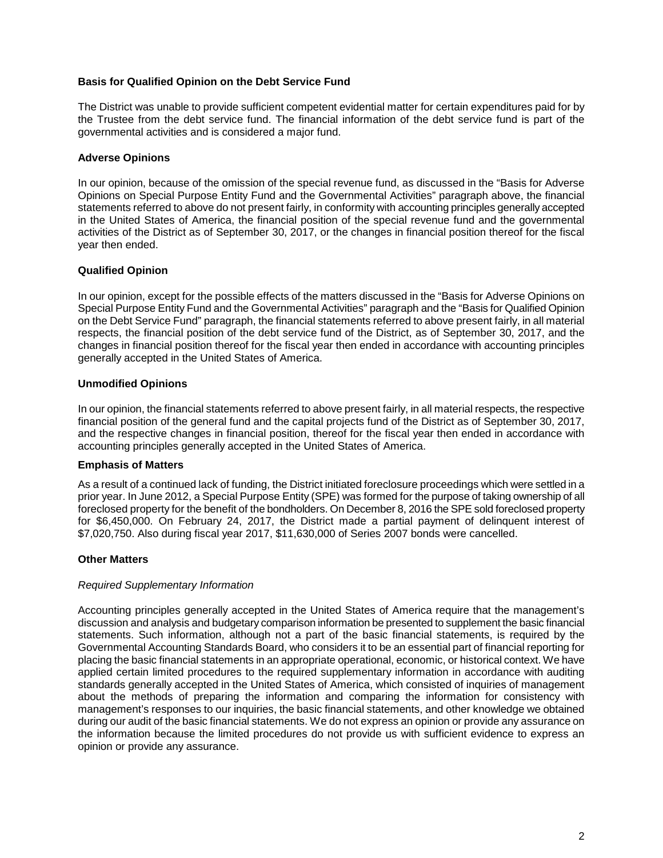## **Basis for Qualified Opinion on the Debt Service Fund**

The District was unable to provide sufficient competent evidential matter for certain expenditures paid for by the Trustee from the debt service fund. The financial information of the debt service fund is part of the governmental activities and is considered a major fund.

## **Adverse Opinions**

In our opinion, because of the omission of the special revenue fund, as discussed in the "Basis for Adverse Opinions on Special Purpose Entity Fund and the Governmental Activities" paragraph above, the financial statements referred to above do not present fairly, in conformity with accounting principles generally accepted in the United States of America, the financial position of the special revenue fund and the governmental activities of the District as of September 30, 2017, or the changes in financial position thereof for the fiscal year then ended.

## **Qualified Opinion**

In our opinion, except for the possible effects of the matters discussed in the "Basis for Adverse Opinions on Special Purpose Entity Fund and the Governmental Activities" paragraph and the "Basis for Qualified Opinion on the Debt Service Fund" paragraph, the financial statements referred to above present fairly, in all material respects, the financial position of the debt service fund of the District, as of September 30, 2017, and the changes in financial position thereof for the fiscal year then ended in accordance with accounting principles generally accepted in the United States of America.

## **Unmodified Opinions**

In our opinion, the financial statements referred to above present fairly, in all material respects, the respective financial position of the general fund and the capital projects fund of the District as of September 30, 2017, and the respective changes in financial position, thereof for the fiscal year then ended in accordance with accounting principles generally accepted in the United States of America.

### **Emphasis of Matters**

As a result of a continued lack of funding, the District initiated foreclosure proceedings which were settled in a prior year. In June 2012, a Special Purpose Entity (SPE) was formed for the purpose of taking ownership of all foreclosed property for the benefit of the bondholders. On December 8, 2016 the SPE sold foreclosed property for \$6,450,000. On February 24, 2017, the District made a partial payment of delinquent interest of \$7,020,750. Also during fiscal year 2017, \$11,630,000 of Series 2007 bonds were cancelled.

### **Other Matters**

### *Required Supplementary Information*

Accounting principles generally accepted in the United States of America require that the management's discussion and analysis and budgetary comparison information be presented to supplement the basic financial statements. Such information, although not a part of the basic financial statements, is required by the Governmental Accounting Standards Board, who considers it to be an essential part of financial reporting for placing the basic financial statements in an appropriate operational, economic, or historical context. We have applied certain limited procedures to the required supplementary information in accordance with auditing standards generally accepted in the United States of America, which consisted of inquiries of management about the methods of preparing the information and comparing the information for consistency with management's responses to our inquiries, the basic financial statements, and other knowledge we obtained during our audit of the basic financial statements. We do not express an opinion or provide any assurance on the information because the limited procedures do not provide us with sufficient evidence to express an opinion or provide any assurance.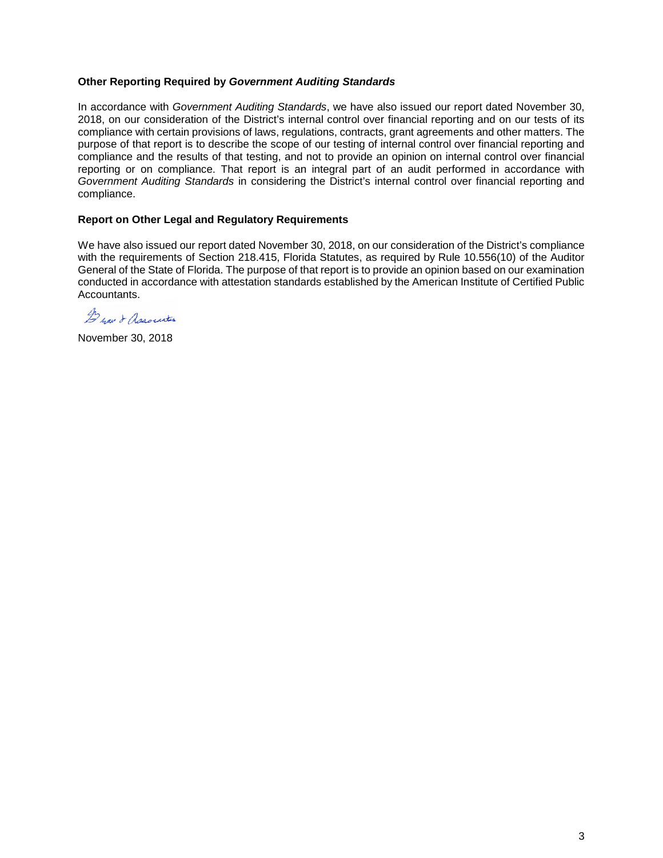## **Other Reporting Required by** *Government Auditing Standards*

In accordance with *Government Auditing Standards*, we have also issued our report dated November 30, 2018, on our consideration of the District's internal control over financial reporting and on our tests of its compliance with certain provisions of laws, regulations, contracts, grant agreements and other matters. The purpose of that report is to describe the scope of our testing of internal control over financial reporting and compliance and the results of that testing, and not to provide an opinion on internal control over financial reporting or on compliance. That report is an integral part of an audit performed in accordance with *Government Auditing Standards* in considering the District's internal control over financial reporting and compliance.

## **Report on Other Legal and Regulatory Requirements**

We have also issued our report dated November 30, 2018, on our consideration of the District's compliance with the requirements of Section 218.415, Florida Statutes, as required by Rule 10.556(10) of the Auditor General of the State of Florida. The purpose of that report is to provide an opinion based on our examination conducted in accordance with attestation standards established by the American Institute of Certified Public Accountants.

Dear & Association

November 30, 2018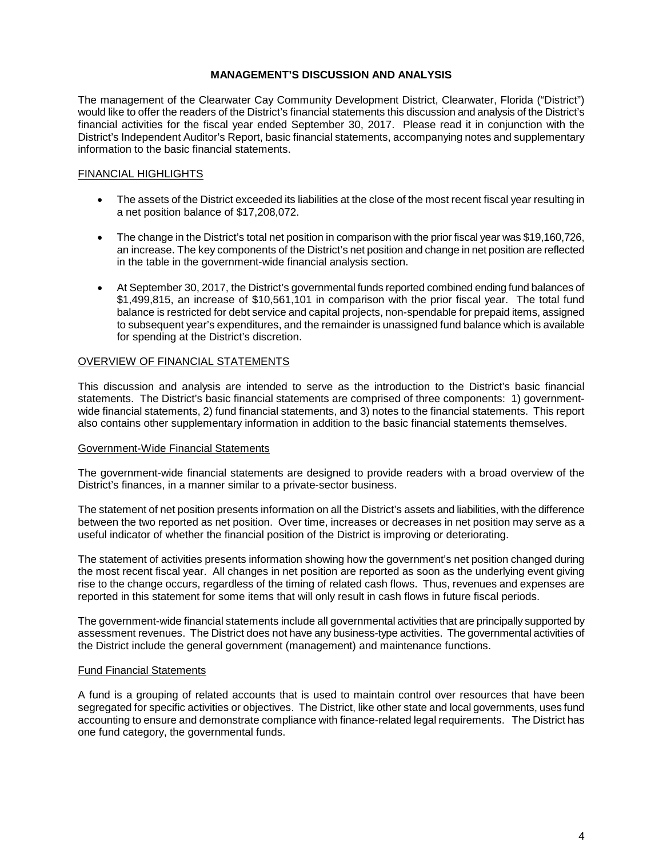## **MANAGEMENT'S DISCUSSION AND ANALYSIS**

The management of the Clearwater Cay Community Development District, Clearwater, Florida ("District") would like to offer the readers of the District's financial statements this discussion and analysis of the District's financial activities for the fiscal year ended September 30, 2017. Please read it in conjunction with the District's Independent Auditor's Report, basic financial statements, accompanying notes and supplementary information to the basic financial statements.

## FINANCIAL HIGHLIGHTS

- The assets of the District exceeded its liabilities at the close of the most recent fiscal year resulting in a net position balance of \$17,208,072.
- The change in the District's total net position in comparison with the prior fiscal year was \$19,160,726, an increase. The key components of the District's net position and change in net position are reflected in the table in the government-wide financial analysis section.
- At September 30, 2017, the District's governmental funds reported combined ending fund balances of \$1,499,815, an increase of \$10,561,101 in comparison with the prior fiscal year. The total fund balance is restricted for debt service and capital projects, non-spendable for prepaid items, assigned to subsequent year's expenditures, and the remainder is unassigned fund balance which is available for spending at the District's discretion.

## OVERVIEW OF FINANCIAL STATEMENTS

This discussion and analysis are intended to serve as the introduction to the District's basic financial statements. The District's basic financial statements are comprised of three components: 1) governmentwide financial statements, 2) fund financial statements, and 3) notes to the financial statements. This report also contains other supplementary information in addition to the basic financial statements themselves.

### Government-Wide Financial Statements

The government-wide financial statements are designed to provide readers with a broad overview of the District's finances, in a manner similar to a private-sector business.

The statement of net position presents information on all the District's assets and liabilities, with the difference between the two reported as net position. Over time, increases or decreases in net position may serve as a useful indicator of whether the financial position of the District is improving or deteriorating.

The statement of activities presents information showing how the government's net position changed during the most recent fiscal year. All changes in net position are reported as soon as the underlying event giving rise to the change occurs, regardless of the timing of related cash flows. Thus, revenues and expenses are reported in this statement for some items that will only result in cash flows in future fiscal periods.

The government-wide financial statements include all governmental activities that are principally supported by assessment revenues. The District does not have any business-type activities. The governmental activities of the District include the general government (management) and maintenance functions.

### Fund Financial Statements

A fund is a grouping of related accounts that is used to maintain control over resources that have been segregated for specific activities or objectives. The District, like other state and local governments, uses fund accounting to ensure and demonstrate compliance with finance-related legal requirements. The District has one fund category, the governmental funds.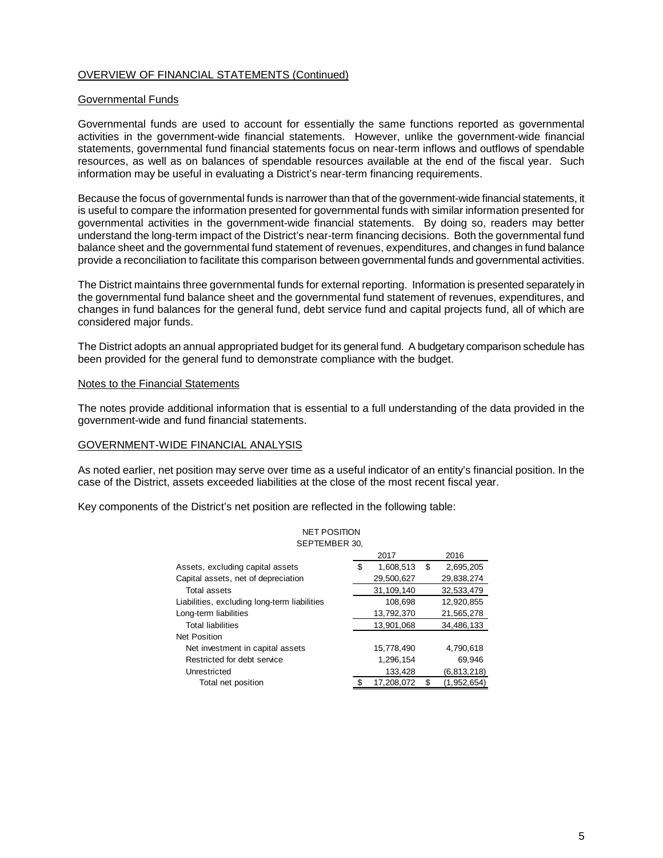## OVERVIEW OF FINANCIAL STATEMENTS (Continued)

#### Governmental Funds

Governmental funds are used to account for essentially the same functions reported as governmental activities in the government-wide financial statements. However, unlike the government-wide financial statements, governmental fund financial statements focus on near-term inflows and outflows of spendable resources, as well as on balances of spendable resources available at the end of the fiscal year. Such information may be useful in evaluating a District's near-term financing requirements.

Because the focus of governmental funds is narrower than that of the government-wide financial statements, it is useful to compare the information presented for governmental funds with similar information presented for governmental activities in the government-wide financial statements. By doing so, readers may better understand the long-term impact of the District's near-term financing decisions. Both the governmental fund balance sheet and the governmental fund statement of revenues, expenditures, and changes in fund balance provide a reconciliation to facilitate this comparison between governmental funds and governmental activities.

The District maintains three governmental funds for external reporting. Information is presented separately in the governmental fund balance sheet and the governmental fund statement of revenues, expenditures, and changes in fund balances for the general fund, debt service fund and capital projects fund, all of which are considered major funds.

The District adopts an annual appropriated budget for its general fund. A budgetary comparison schedule has been provided for the general fund to demonstrate compliance with the budget.

#### Notes to the Financial Statements

The notes provide additional information that is essential to a full understanding of the data provided in the government-wide and fund financial statements.

### GOVERNMENT-WIDE FINANCIAL ANALYSIS

As noted earlier, net position may serve over time as a useful indicator of an entity's financial position. In the case of the District, assets exceeded liabilities at the close of the most recent fiscal year.

Key components of the District's net position are reflected in the following table:

#### NET POSITION SEPTEMBER 30,

|                                              |    | 2017       |      | 2016          |
|----------------------------------------------|----|------------|------|---------------|
| Assets, excluding capital assets             | \$ | 1,608,513  | - \$ | 2,695,205     |
| Capital assets, net of depreciation          |    | 29,500,627 |      | 29,838,274    |
| Total assets                                 |    | 31,109,140 |      | 32,533,479    |
| Liabilities, excluding long-term liabilities |    | 108,698    |      | 12,920,855    |
| Long-term liabilities                        |    | 13,792,370 |      | 21,565,278    |
| <b>Total liabilities</b>                     |    | 13,901,068 |      | 34,486,133    |
| Net Position                                 |    |            |      |               |
| Net investment in capital assets             |    | 15,778,490 |      | 4,790,618     |
| Restricted for debt service                  |    | 1,296,154  |      | 69,946        |
| Unrestricted                                 |    | 133,428    |      | (6, 813, 218) |
| Total net position                           | S  | 17,208,072 | \$.  | (1,952,654)   |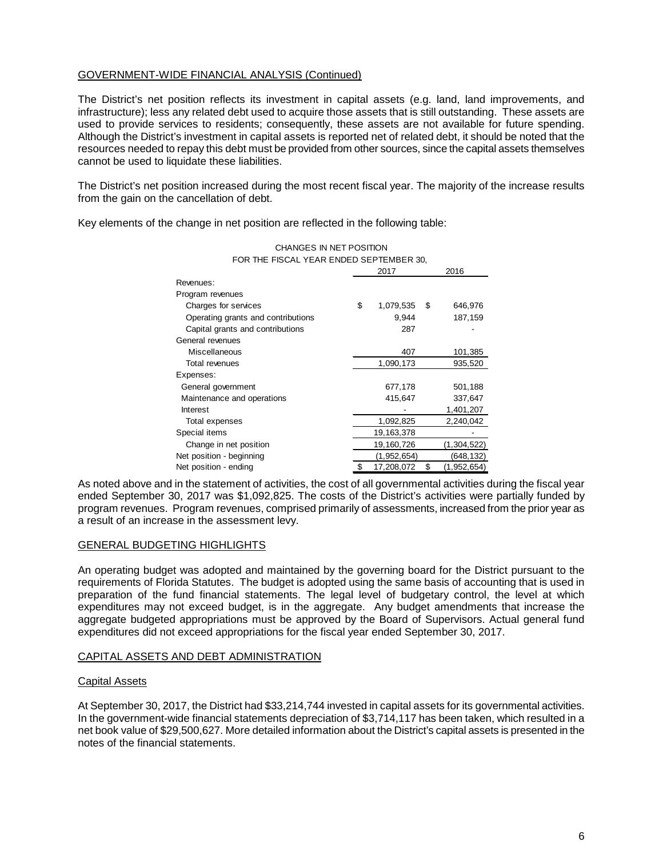## GOVERNMENT-WIDE FINANCIAL ANALYSIS (Continued)

The District's net position reflects its investment in capital assets (e.g. land, land improvements, and infrastructure); less any related debt used to acquire those assets that is still outstanding. These assets are used to provide services to residents; consequently, these assets are not available for future spending. Although the District's investment in capital assets is reported net of related debt, it should be noted that the resources needed to repay this debt must be provided from other sources, since the capital assets themselves cannot be used to liquidate these liabilities.

The District's net position increased during the most recent fiscal year. The majority of the increase results from the gain on the cancellation of debt.

Key elements of the change in net position are reflected in the following table:

| TON THE TROOPE TEAR ENDED OLT TEMPER 30, |    |             |    |             |  |
|------------------------------------------|----|-------------|----|-------------|--|
|                                          |    | 2017        |    | 2016        |  |
| Revenues:                                |    |             |    |             |  |
| Program revenues                         |    |             |    |             |  |
| Charges for services                     | \$ | 1,079,535   | \$ | 646,976     |  |
| Operating grants and contributions       |    | 9,944       |    | 187,159     |  |
| Capital grants and contributions         |    | 287         |    |             |  |
| General revenues                         |    |             |    |             |  |
| Miscellaneous                            |    | 407         |    | 101,385     |  |
| Total revenues                           |    | 1,090,173   |    | 935,520     |  |
| Expenses:                                |    |             |    |             |  |
| General government                       |    | 677,178     |    | 501,188     |  |
| Maintenance and operations               |    | 415,647     |    | 337,647     |  |
| Interest                                 |    |             |    | 1,401,207   |  |
| Total expenses                           |    | 1,092,825   |    | 2,240,042   |  |
| Special items                            |    | 19,163,378  |    |             |  |
| Change in net position                   |    | 19,160,726  |    | (1,304,522) |  |
| Net position - beginning                 |    | (1,952,654) |    | (648,132)   |  |
| Net position - ending                    | \$ | 17,208,072  | \$ | (1,952,654) |  |

CHANGES IN NET POSITION FOR THE FISCAL YEAR ENDED SEPTEMBER 30,

As noted above and in the statement of activities, the cost of all governmental activities during the fiscal year ended September 30, 2017 was \$1,092,825. The costs of the District's activities were partially funded by program revenues. Program revenues, comprised primarily of assessments, increased from the prior year as a result of an increase in the assessment levy.

### GENERAL BUDGETING HIGHLIGHTS

An operating budget was adopted and maintained by the governing board for the District pursuant to the requirements of Florida Statutes. The budget is adopted using the same basis of accounting that is used in preparation of the fund financial statements. The legal level of budgetary control, the level at which expenditures may not exceed budget, is in the aggregate. Any budget amendments that increase the aggregate budgeted appropriations must be approved by the Board of Supervisors. Actual general fund expenditures did not exceed appropriations for the fiscal year ended September 30, 2017.

### CAPITAL ASSETS AND DEBT ADMINISTRATION

#### Capital Assets

At September 30, 2017, the District had \$33,214,744 invested in capital assets for its governmental activities. In the government-wide financial statements depreciation of \$3,714,117 has been taken, which resulted in a net book value of \$29,500,627. More detailed information about the District's capital assets is presented in the notes of the financial statements.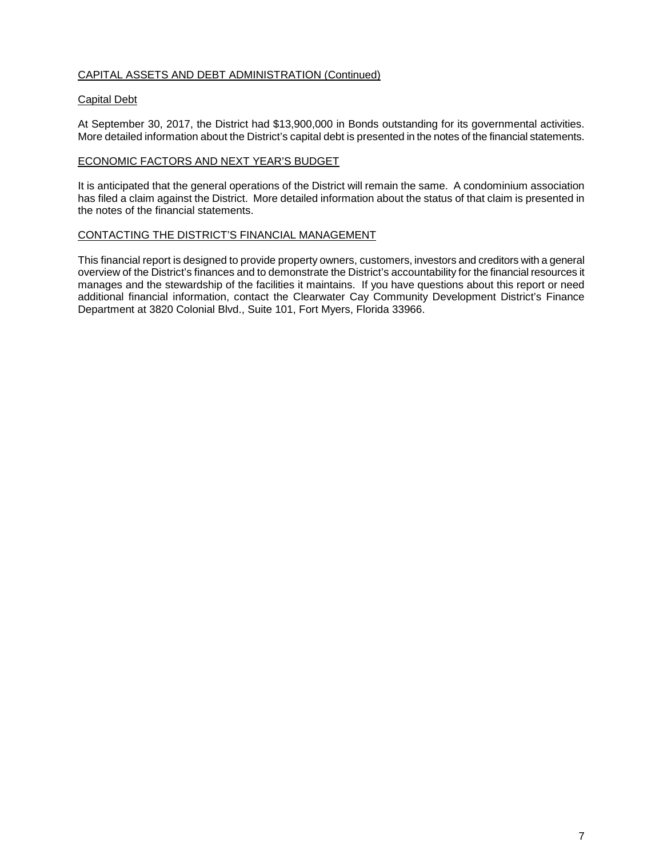## CAPITAL ASSETS AND DEBT ADMINISTRATION (Continued)

### Capital Debt

At September 30, 2017, the District had \$13,900,000 in Bonds outstanding for its governmental activities. More detailed information about the District's capital debt is presented in the notes of the financial statements.

## ECONOMIC FACTORS AND NEXT YEAR'S BUDGET

It is anticipated that the general operations of the District will remain the same. A condominium association has filed a claim against the District. More detailed information about the status of that claim is presented in the notes of the financial statements.

#### CONTACTING THE DISTRICT'S FINANCIAL MANAGEMENT

This financial report is designed to provide property owners, customers, investors and creditors with a general overview of the District's finances and to demonstrate the District's accountability for the financial resources it manages and the stewardship of the facilities it maintains. If you have questions about this report or need additional financial information, contact the Clearwater Cay Community Development District's Finance Department at 3820 Colonial Blvd., Suite 101, Fort Myers, Florida 33966.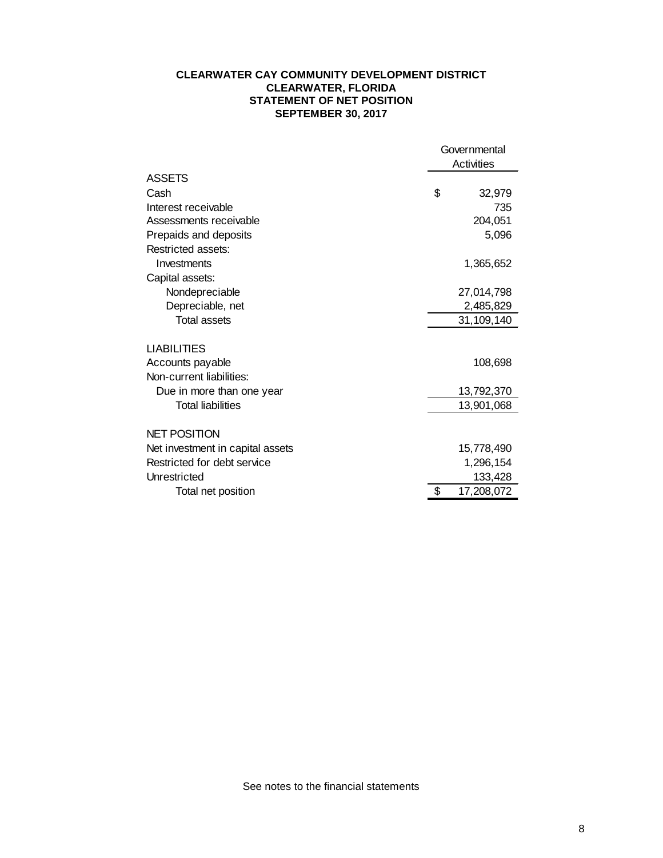## **CLEARWATER CAY COMMUNITY DEVELOPMENT DISTRICT CLEARWATER, FLORIDA STATEMENT OF NET POSITION SEPTEMBER 30, 2017**

|                                  | Governmental      |
|----------------------------------|-------------------|
|                                  | <b>Activities</b> |
| <b>ASSETS</b>                    |                   |
| Cash                             | \$<br>32,979      |
| Interest receivable              | 735               |
| Assessments receivable           | 204,051           |
| Prepaids and deposits            | 5,096             |
| Restricted assets:               |                   |
| Investments                      | 1,365,652         |
| Capital assets:                  |                   |
| Nondepreciable                   | 27,014,798        |
| Depreciable, net                 | 2,485,829         |
| <b>Total assets</b>              | 31,109,140        |
|                                  |                   |
| <b>LIABILITIES</b>               |                   |
| Accounts payable                 | 108,698           |
| Non-current liabilities:         |                   |
| Due in more than one year        | 13,792,370        |
| <b>Total liabilities</b>         | 13,901,068        |
|                                  |                   |
| <b>NET POSITION</b>              |                   |
| Net investment in capital assets | 15,778,490        |
| Restricted for debt service      | 1,296,154         |
| Unrestricted                     | 133,428           |
| Total net position               | \$<br>17,208,072  |

See notes to the financial statements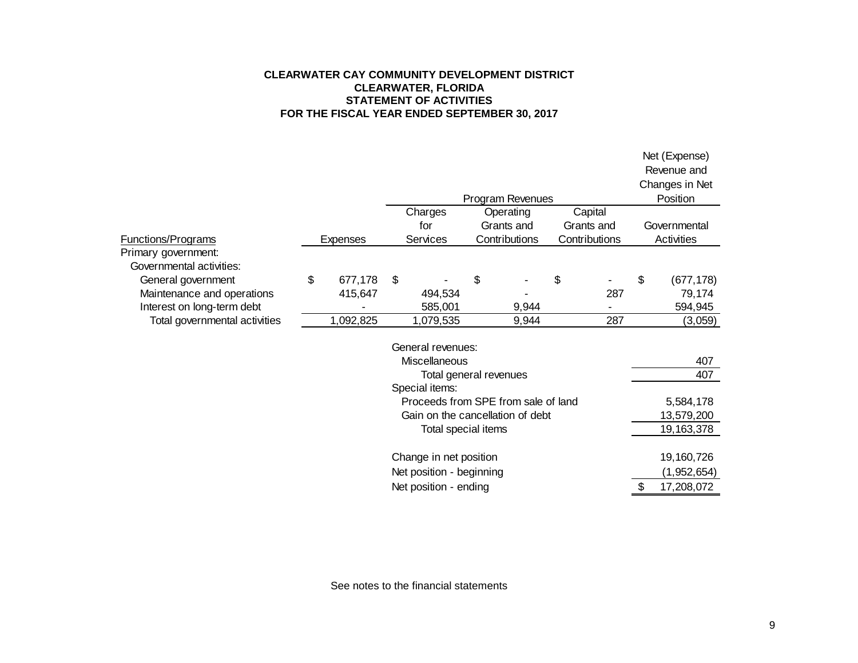# **CLEARWATER CAY COMMUNITY DEVELOPMENT DISTRICT CLEARWATER, FLORIDA STATEMENT OF ACTIVITIES FOR THE FISCAL YEAR ENDED SEPTEMBER 30, 2017**

|                               |               |                                     |                  |               | Net (Expense)    |
|-------------------------------|---------------|-------------------------------------|------------------|---------------|------------------|
|                               |               |                                     |                  |               | Revenue and      |
|                               |               |                                     |                  |               | Changes in Net   |
|                               |               |                                     | Program Revenues |               | Position         |
|                               |               | Charges                             | Operating        | Capital       |                  |
|                               |               | for                                 | Grants and       | Grants and    | Governmental     |
| <b>Functions/Programs</b>     | Expenses      | <b>Services</b>                     | Contributions    | Contributions | Activities       |
| Primary government:           |               |                                     |                  |               |                  |
| Governmental activities:      |               |                                     |                  |               |                  |
| General government            | \$<br>677,178 | \$                                  | \$               | \$            | \$<br>(677, 178) |
| Maintenance and operations    | 415,647       | 494,534                             |                  | 287           | 79,174           |
| Interest on long-term debt    |               | 585,001                             | 9,944            |               | 594,945          |
| Total governmental activities | 1,092,825     | 1,079,535                           | 9,944            | 287           | (3,059)          |
|                               |               | General revenues:                   |                  |               |                  |
|                               |               | Miscellaneous                       |                  |               | 407              |
|                               |               |                                     |                  |               | 407              |
|                               |               | Total general revenues              |                  |               |                  |
|                               |               | Special items:                      |                  |               |                  |
|                               |               | Proceeds from SPE from sale of land |                  |               | 5,584,178        |
|                               |               | Gain on the cancellation of debt    |                  |               | 13,579,200       |
|                               |               | Total special items                 |                  |               | 19,163,378       |
|                               |               | Change in net position              |                  |               | 19,160,726       |
|                               |               | Net position - beginning            |                  |               | (1,952,654)      |
|                               |               | Net position - ending               |                  |               | \$<br>17,208,072 |
|                               |               |                                     |                  |               |                  |

See notes to the financial statements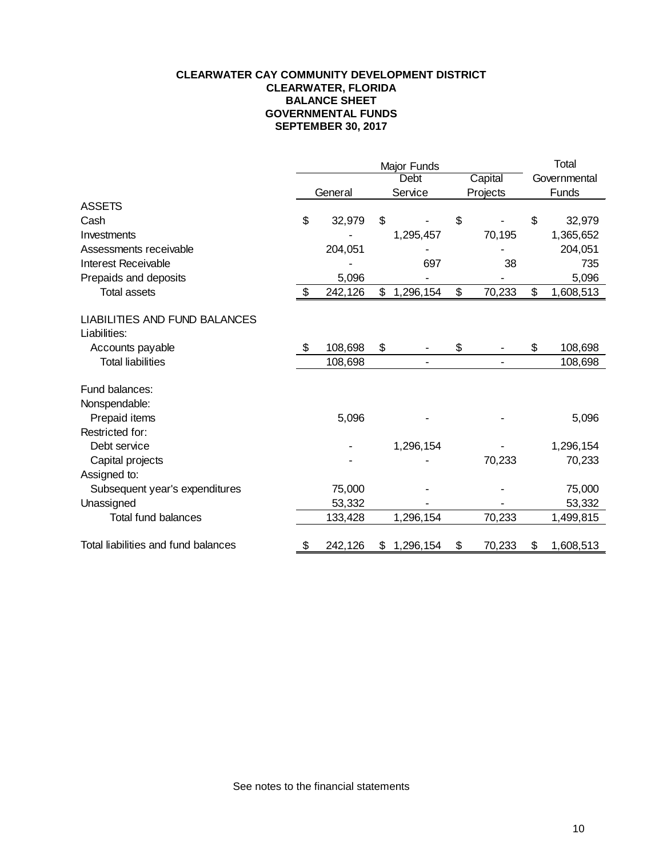## **CLEARWATER CAY COMMUNITY DEVELOPMENT DISTRICT CLEARWATER, FLORIDA BALANCE SHEET GOVERNMENTAL FUNDS SEPTEMBER 30, 2017**

|                                      | Major Funds |         |         |           |              |        | Total |           |
|--------------------------------------|-------------|---------|---------|-----------|--------------|--------|-------|-----------|
|                                      | Debt        |         | Capital |           | Governmental |        |       |           |
|                                      | General     |         | Service |           | Projects     |        |       | Funds     |
| <b>ASSETS</b>                        |             |         |         |           |              |        |       |           |
| Cash                                 | \$          | 32,979  | \$      |           | \$           |        | \$    | 32,979    |
| Investments                          |             |         |         | 1,295,457 |              | 70,195 |       | 1,365,652 |
| Assessments receivable               |             | 204,051 |         |           |              |        |       | 204,051   |
| Interest Receivable                  |             |         |         | 697       |              | 38     |       | 735       |
| Prepaids and deposits                |             | 5,096   |         |           |              |        |       | 5,096     |
| <b>Total assets</b>                  | \$          | 242,126 | \$      | 1,296,154 | \$           | 70,233 | \$    | 1,608,513 |
| <b>LIABILITIES AND FUND BALANCES</b> |             |         |         |           |              |        |       |           |
| Liabilities:                         |             |         |         |           |              |        |       |           |
| Accounts payable                     | \$          | 108,698 | \$      |           | \$           |        | \$    | 108,698   |
| <b>Total liabilities</b>             |             | 108,698 |         | ٠         |              | ۰      |       | 108,698   |
| Fund balances:                       |             |         |         |           |              |        |       |           |
| Nonspendable:                        |             |         |         |           |              |        |       |           |
| Prepaid items                        |             | 5,096   |         |           |              |        |       | 5,096     |
| Restricted for:                      |             |         |         |           |              |        |       |           |
| Debt service                         |             |         |         | 1,296,154 |              |        |       | 1,296,154 |
| Capital projects                     |             |         |         |           |              | 70,233 |       | 70,233    |
| Assigned to:                         |             |         |         |           |              |        |       |           |
| Subsequent year's expenditures       |             | 75,000  |         |           |              |        |       | 75,000    |
| Unassigned                           |             | 53,332  |         |           |              |        |       | 53,332    |
| <b>Total fund balances</b>           |             | 133,428 |         | 1,296,154 |              | 70,233 |       | 1,499,815 |
| Total liabilities and fund balances  | \$          | 242,126 | \$      | 1,296,154 | \$           | 70,233 | \$    | 1,608,513 |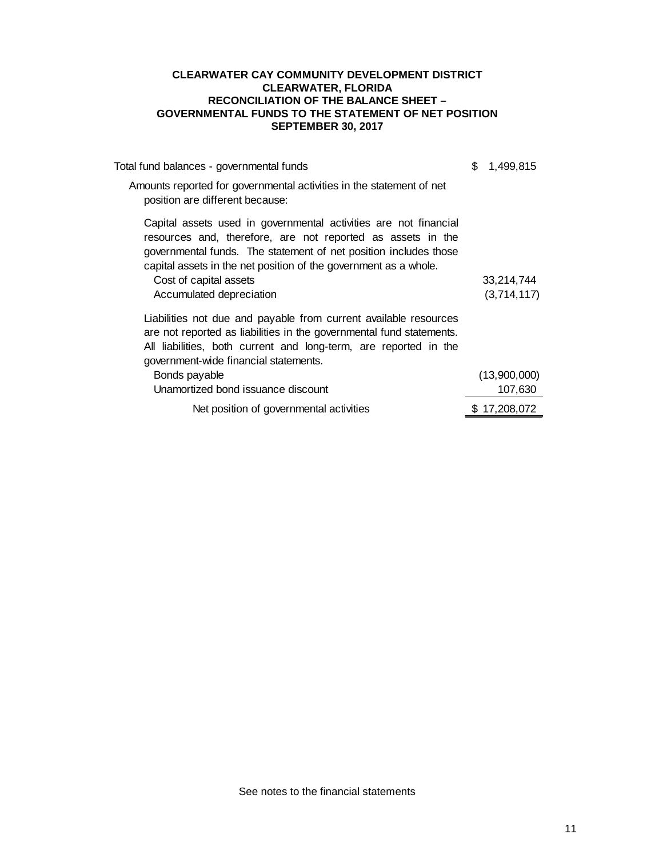## **CLEARWATER CAY COMMUNITY DEVELOPMENT DISTRICT CLEARWATER, FLORIDA RECONCILIATION OF THE BALANCE SHEET – GOVERNMENTAL FUNDS TO THE STATEMENT OF NET POSITION SEPTEMBER 30, 2017**

| Total fund balances - governmental funds                                                                                                                                                                                                                                                                                      | \$. | 1,499,815                 |
|-------------------------------------------------------------------------------------------------------------------------------------------------------------------------------------------------------------------------------------------------------------------------------------------------------------------------------|-----|---------------------------|
| Amounts reported for governmental activities in the statement of net<br>position are different because:                                                                                                                                                                                                                       |     |                           |
| Capital assets used in governmental activities are not financial<br>resources and, therefore, are not reported as assets in the<br>governmental funds. The statement of net position includes those<br>capital assets in the net position of the government as a whole.<br>Cost of capital assets<br>Accumulated depreciation |     | 33,214,744<br>(3,714,117) |
| Liabilities not due and payable from current available resources<br>are not reported as liabilities in the governmental fund statements.<br>All liabilities, both current and long-term, are reported in the<br>government-wide financial statements.                                                                         |     |                           |
| Bonds payable                                                                                                                                                                                                                                                                                                                 |     | (13,900,000)              |
| Unamortized bond issuance discount                                                                                                                                                                                                                                                                                            |     | 107,630                   |
| Net position of governmental activities                                                                                                                                                                                                                                                                                       |     | \$17,208,072              |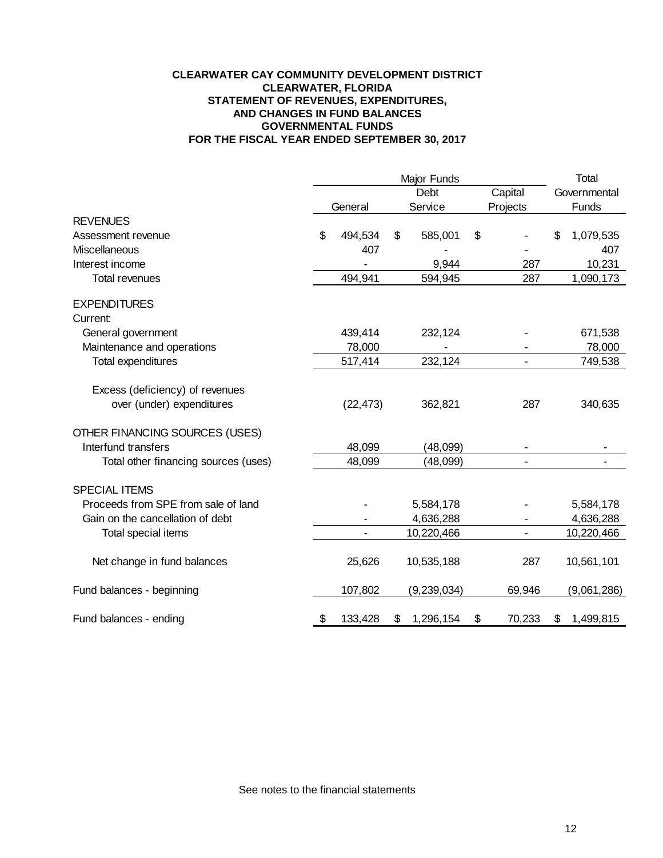## **CLEARWATER CAY COMMUNITY DEVELOPMENT DISTRICT CLEARWATER, FLORIDA STATEMENT OF REVENUES, EXPENDITURES, AND CHANGES IN FUND BALANCES GOVERNMENTAL FUNDS FOR THE FISCAL YEAR ENDED SEPTEMBER 30, 2017**

|                                      | Major Funds |           |                |               |    | Total          |    |              |
|--------------------------------------|-------------|-----------|----------------|---------------|----|----------------|----|--------------|
|                                      |             |           | Debt           |               |    | Capital        |    | Governmental |
|                                      |             | General   |                | Service       |    | Projects       |    | Funds        |
| <b>REVENUES</b>                      |             |           |                |               |    |                |    |              |
| Assessment revenue                   | \$          | 494,534   | $\mathfrak{S}$ | 585,001       | \$ |                | \$ | 1,079,535    |
| Miscellaneous                        |             | 407       |                |               |    |                |    | 407          |
| Interest income                      |             |           |                | 9,944         |    | 287            |    | 10,231       |
| <b>Total revenues</b>                |             | 494,941   |                | 594,945       |    | 287            |    | 1,090,173    |
| <b>EXPENDITURES</b>                  |             |           |                |               |    |                |    |              |
| Current:                             |             |           |                |               |    |                |    |              |
| General government                   |             | 439,414   |                | 232,124       |    |                |    | 671,538      |
| Maintenance and operations           |             | 78,000    |                |               |    |                |    | 78,000       |
| <b>Total expenditures</b>            |             | 517,414   |                | 232,124       |    |                |    | 749,538      |
| Excess (deficiency) of revenues      |             |           |                |               |    |                |    |              |
| over (under) expenditures            |             | (22, 473) |                | 362,821       |    | 287            |    | 340,635      |
| OTHER FINANCING SOURCES (USES)       |             |           |                |               |    |                |    |              |
| Interfund transfers                  |             | 48,099    |                | (48,099)      |    | ۰              |    |              |
| Total other financing sources (uses) |             | 48,099    |                | (48,099)      |    |                |    |              |
| <b>SPECIAL ITEMS</b>                 |             |           |                |               |    |                |    |              |
| Proceeds from SPE from sale of land  |             |           |                | 5,584,178     |    |                |    | 5,584,178    |
| Gain on the cancellation of debt     |             |           |                | 4,636,288     |    |                |    | 4,636,288    |
| Total special items                  |             | ٠         |                | 10,220,466    |    | $\blacksquare$ |    | 10,220,466   |
| Net change in fund balances          |             | 25,626    |                | 10,535,188    |    | 287            |    | 10,561,101   |
| Fund balances - beginning            |             | 107,802   |                | (9, 239, 034) |    | 69,946         |    | (9,061,286)  |
| Fund balances - ending               | \$          | 133,428   | \$             | 1,296,154     | \$ | 70,233         | \$ | 1,499,815    |

See notes to the financial statements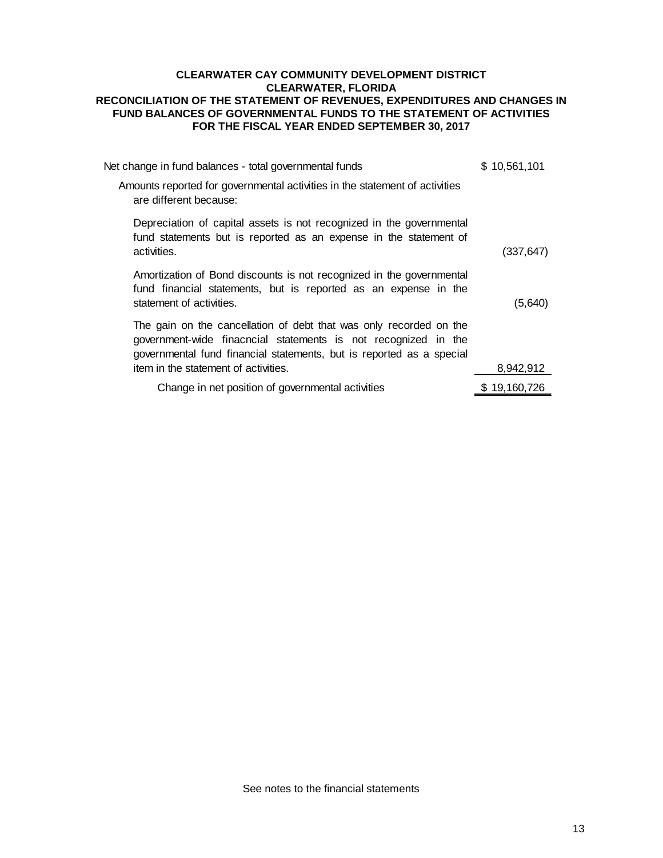## **CLEARWATER CAY COMMUNITY DEVELOPMENT DISTRICT CLEARWATER, FLORIDA RECONCILIATION OF THE STATEMENT OF REVENUES, EXPENDITURES AND CHANGES IN FUND BALANCES OF GOVERNMENTAL FUNDS TO THE STATEMENT OF ACTIVITIES FOR THE FISCAL YEAR ENDED SEPTEMBER 30, 2017**

| Net change in fund balances - total governmental funds                                                                                                                                                                                               | \$10,561,101 |
|------------------------------------------------------------------------------------------------------------------------------------------------------------------------------------------------------------------------------------------------------|--------------|
| Amounts reported for governmental activities in the statement of activities<br>are different because:                                                                                                                                                |              |
| Depreciation of capital assets is not recognized in the governmental<br>fund statements but is reported as an expense in the statement of<br>activities.                                                                                             | (337, 647)   |
| Amortization of Bond discounts is not recognized in the governmental<br>fund financial statements, but is reported as an expense in the<br>statement of activities.                                                                                  | (5,640)      |
| The gain on the cancellation of debt that was only recorded on the<br>government-wide finacncial statements is not recognized in the<br>governmental fund financial statements, but is reported as a special<br>item in the statement of activities. |              |
|                                                                                                                                                                                                                                                      | 8,942,912    |
| Change in net position of governmental activities                                                                                                                                                                                                    | \$19,160,726 |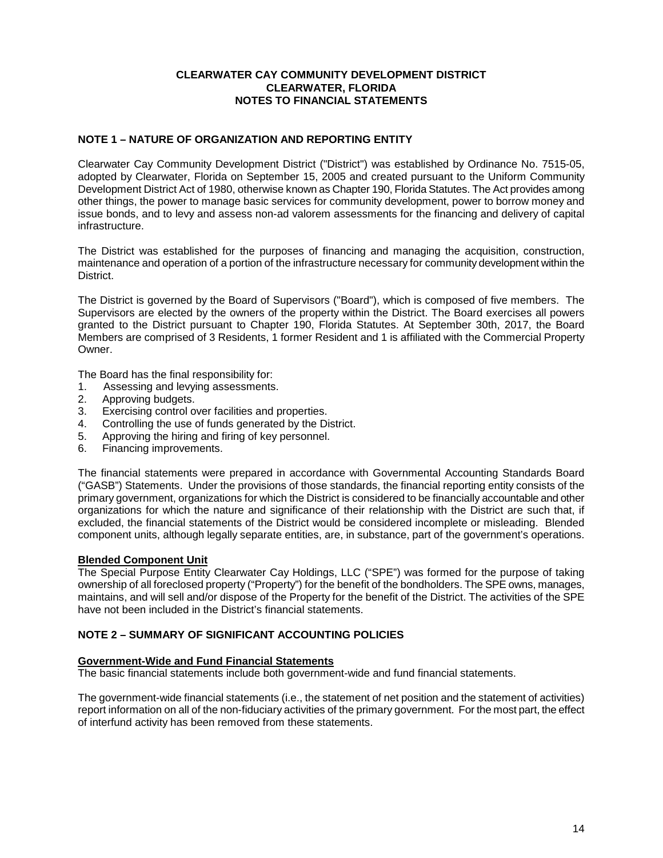# **CLEARWATER CAY COMMUNITY DEVELOPMENT DISTRICT CLEARWATER, FLORIDA NOTES TO FINANCIAL STATEMENTS**

# **NOTE 1 – NATURE OF ORGANIZATION AND REPORTING ENTITY**

Clearwater Cay Community Development District ("District") was established by Ordinance No. 7515-05, adopted by Clearwater, Florida on September 15, 2005 and created pursuant to the Uniform Community Development District Act of 1980, otherwise known as Chapter 190, Florida Statutes. The Act provides among other things, the power to manage basic services for community development, power to borrow money and issue bonds, and to levy and assess non-ad valorem assessments for the financing and delivery of capital infrastructure.

The District was established for the purposes of financing and managing the acquisition, construction, maintenance and operation of a portion of the infrastructure necessary for community development within the District.

The District is governed by the Board of Supervisors ("Board"), which is composed of five members. The Supervisors are elected by the owners of the property within the District. The Board exercises all powers granted to the District pursuant to Chapter 190, Florida Statutes. At September 30th, 2017, the Board Members are comprised of 3 Residents, 1 former Resident and 1 is affiliated with the Commercial Property Owner.

The Board has the final responsibility for:

- 1. Assessing and levying assessments.
- 2. Approving budgets.
- 3. Exercising control over facilities and properties.
- 4. Controlling the use of funds generated by the District.<br>5. Approving the hiring and firing of key personnel.
- Approving the hiring and firing of key personnel.
- 6. Financing improvements.

The financial statements were prepared in accordance with Governmental Accounting Standards Board ("GASB") Statements. Under the provisions of those standards, the financial reporting entity consists of the primary government, organizations for which the District is considered to be financially accountable and other organizations for which the nature and significance of their relationship with the District are such that, if excluded, the financial statements of the District would be considered incomplete or misleading. Blended component units, although legally separate entities, are, in substance, part of the government's operations.

### **Blended Component Unit**

The Special Purpose Entity Clearwater Cay Holdings, LLC ("SPE") was formed for the purpose of taking ownership of all foreclosed property ("Property") for the benefit of the bondholders. The SPE owns, manages, maintains, and will sell and/or dispose of the Property for the benefit of the District. The activities of the SPE have not been included in the District's financial statements.

# **NOTE 2 – SUMMARY OF SIGNIFICANT ACCOUNTING POLICIES**

### **Government-Wide and Fund Financial Statements**

The basic financial statements include both government-wide and fund financial statements.

The government-wide financial statements (i.e., the statement of net position and the statement of activities) report information on all of the non-fiduciary activities of the primary government. For the most part, the effect of interfund activity has been removed from these statements.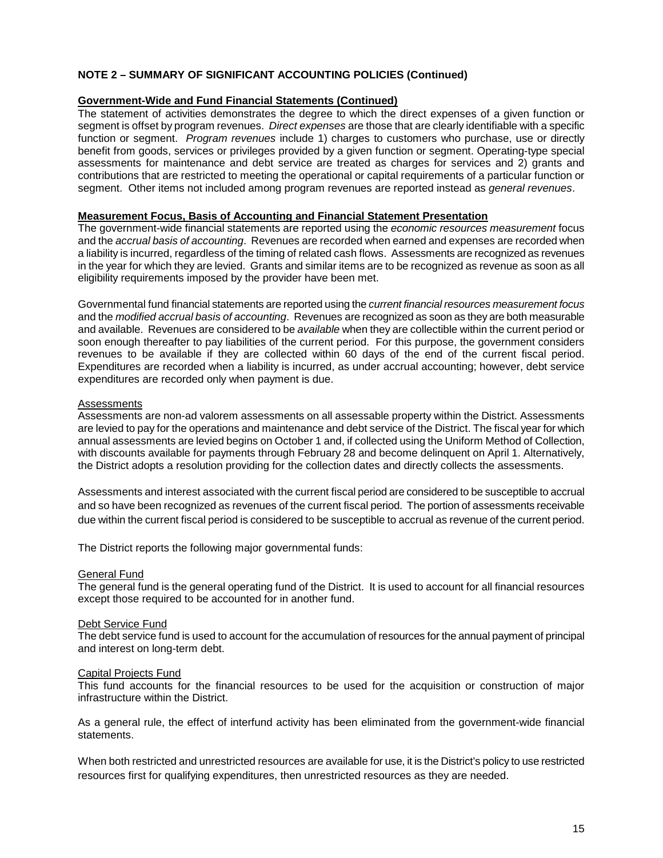## **Government-Wide and Fund Financial Statements (Continued)**

The statement of activities demonstrates the degree to which the direct expenses of a given function or segment is offset by program revenues. *Direct expenses* are those that are clearly identifiable with a specific function or segment. *Program revenues* include 1) charges to customers who purchase, use or directly benefit from goods, services or privileges provided by a given function or segment. Operating-type special assessments for maintenance and debt service are treated as charges for services and 2) grants and contributions that are restricted to meeting the operational or capital requirements of a particular function or segment. Other items not included among program revenues are reported instead as *general revenues*.

### **Measurement Focus, Basis of Accounting and Financial Statement Presentation**

The government-wide financial statements are reported using the *economic resources measurement* focus and the *accrual basis of accounting*. Revenues are recorded when earned and expenses are recorded when a liability is incurred, regardless of the timing of related cash flows. Assessments are recognized as revenues in the year for which they are levied. Grants and similar items are to be recognized as revenue as soon as all eligibility requirements imposed by the provider have been met.

Governmental fund financial statements are reported using the *current financial resources measurement focus* and the *modified accrual basis of accounting*. Revenues are recognized as soon as they are both measurable and available. Revenues are considered to be *available* when they are collectible within the current period or soon enough thereafter to pay liabilities of the current period. For this purpose, the government considers revenues to be available if they are collected within 60 days of the end of the current fiscal period. Expenditures are recorded when a liability is incurred, as under accrual accounting; however, debt service expenditures are recorded only when payment is due.

## **Assessments**

Assessments are non-ad valorem assessments on all assessable property within the District. Assessments are levied to pay for the operations and maintenance and debt service of the District. The fiscal year for which annual assessments are levied begins on October 1 and, if collected using the Uniform Method of Collection, with discounts available for payments through February 28 and become delinquent on April 1. Alternatively, the District adopts a resolution providing for the collection dates and directly collects the assessments.

Assessments and interest associated with the current fiscal period are considered to be susceptible to accrual and so have been recognized as revenues of the current fiscal period. The portion of assessments receivable due within the current fiscal period is considered to be susceptible to accrual as revenue of the current period.

The District reports the following major governmental funds:

# General Fund

The general fund is the general operating fund of the District. It is used to account for all financial resources except those required to be accounted for in another fund.

# Debt Service Fund

The debt service fund is used to account for the accumulation of resources for the annual payment of principal and interest on long-term debt.

### Capital Projects Fund

This fund accounts for the financial resources to be used for the acquisition or construction of major infrastructure within the District.

As a general rule, the effect of interfund activity has been eliminated from the government-wide financial statements.

When both restricted and unrestricted resources are available for use, it is the District's policy to use restricted resources first for qualifying expenditures, then unrestricted resources as they are needed.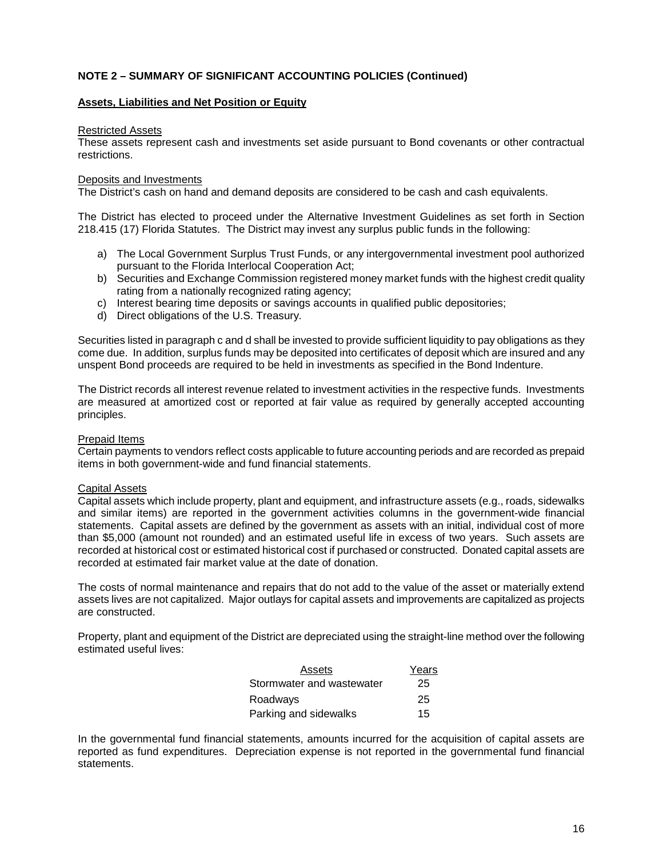## **Assets, Liabilities and Net Position or Equity**

#### Restricted Assets

These assets represent cash and investments set aside pursuant to Bond covenants or other contractual restrictions.

#### Deposits and Investments

The District's cash on hand and demand deposits are considered to be cash and cash equivalents.

The District has elected to proceed under the Alternative Investment Guidelines as set forth in Section 218.415 (17) Florida Statutes. The District may invest any surplus public funds in the following:

- a) The Local Government Surplus Trust Funds, or any intergovernmental investment pool authorized pursuant to the Florida Interlocal Cooperation Act;
- b) Securities and Exchange Commission registered money market funds with the highest credit quality rating from a nationally recognized rating agency;
- c) Interest bearing time deposits or savings accounts in qualified public depositories;
- d) Direct obligations of the U.S. Treasury.

Securities listed in paragraph c and d shall be invested to provide sufficient liquidity to pay obligations as they come due. In addition, surplus funds may be deposited into certificates of deposit which are insured and any unspent Bond proceeds are required to be held in investments as specified in the Bond Indenture.

The District records all interest revenue related to investment activities in the respective funds. Investments are measured at amortized cost or reported at fair value as required by generally accepted accounting principles.

### Prepaid Items

Certain payments to vendors reflect costs applicable to future accounting periods and are recorded as prepaid items in both government-wide and fund financial statements.

### Capital Assets

Capital assets which include property, plant and equipment, and infrastructure assets (e.g., roads, sidewalks and similar items) are reported in the government activities columns in the government-wide financial statements. Capital assets are defined by the government as assets with an initial, individual cost of more than \$5,000 (amount not rounded) and an estimated useful life in excess of two years. Such assets are recorded at historical cost or estimated historical cost if purchased or constructed. Donated capital assets are recorded at estimated fair market value at the date of donation.

The costs of normal maintenance and repairs that do not add to the value of the asset or materially extend assets lives are not capitalized. Major outlays for capital assets and improvements are capitalized as projects are constructed.

Property, plant and equipment of the District are depreciated using the straight-line method over the following estimated useful lives:

| Assets                    | Years |
|---------------------------|-------|
| Stormwater and wastewater | 25    |
| Roadways                  | 25    |
| Parking and sidewalks     | 15    |

In the governmental fund financial statements, amounts incurred for the acquisition of capital assets are reported as fund expenditures. Depreciation expense is not reported in the governmental fund financial statements.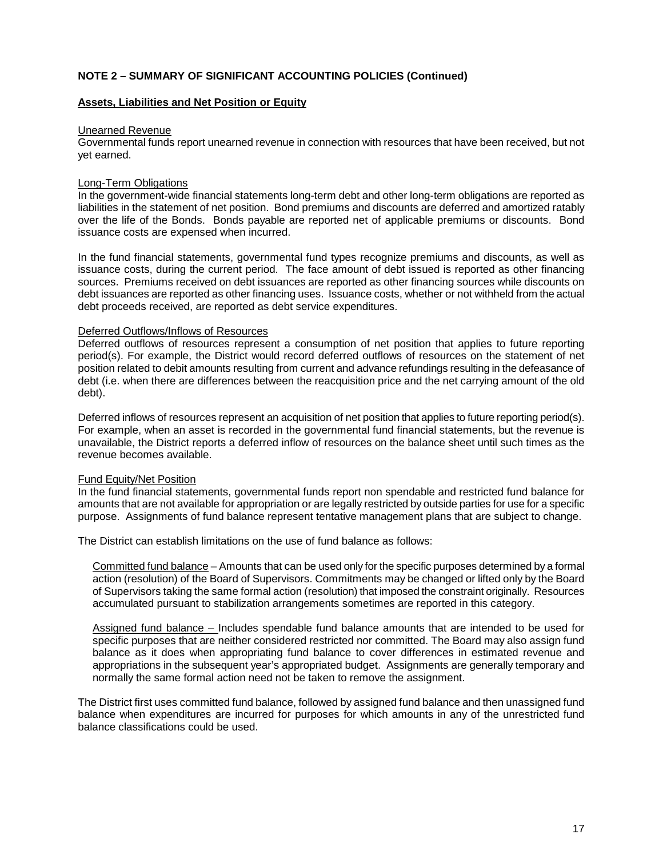## **Assets, Liabilities and Net Position or Equity**

#### Unearned Revenue

Governmental funds report unearned revenue in connection with resources that have been received, but not yet earned.

#### Long-Term Obligations

In the government-wide financial statements long-term debt and other long-term obligations are reported as liabilities in the statement of net position. Bond premiums and discounts are deferred and amortized ratably over the life of the Bonds. Bonds payable are reported net of applicable premiums or discounts. Bond issuance costs are expensed when incurred.

In the fund financial statements, governmental fund types recognize premiums and discounts, as well as issuance costs, during the current period. The face amount of debt issued is reported as other financing sources. Premiums received on debt issuances are reported as other financing sources while discounts on debt issuances are reported as other financing uses. Issuance costs, whether or not withheld from the actual debt proceeds received, are reported as debt service expenditures.

#### Deferred Outflows/Inflows of Resources

Deferred outflows of resources represent a consumption of net position that applies to future reporting period(s). For example, the District would record deferred outflows of resources on the statement of net position related to debit amounts resulting from current and advance refundings resulting in the defeasance of debt (i.e. when there are differences between the reacquisition price and the net carrying amount of the old debt).

Deferred inflows of resources represent an acquisition of net position that applies to future reporting period(s). For example, when an asset is recorded in the governmental fund financial statements, but the revenue is unavailable, the District reports a deferred inflow of resources on the balance sheet until such times as the revenue becomes available.

### Fund Equity/Net Position

In the fund financial statements, governmental funds report non spendable and restricted fund balance for amounts that are not available for appropriation or are legally restricted by outside parties for use for a specific purpose. Assignments of fund balance represent tentative management plans that are subject to change.

The District can establish limitations on the use of fund balance as follows:

Committed fund balance – Amounts that can be used only for the specific purposes determined by a formal action (resolution) of the Board of Supervisors. Commitments may be changed or lifted only by the Board of Supervisors taking the same formal action (resolution) that imposed the constraint originally. Resources accumulated pursuant to stabilization arrangements sometimes are reported in this category.

Assigned fund balance – Includes spendable fund balance amounts that are intended to be used for specific purposes that are neither considered restricted nor committed. The Board may also assign fund balance as it does when appropriating fund balance to cover differences in estimated revenue and appropriations in the subsequent year's appropriated budget. Assignments are generally temporary and normally the same formal action need not be taken to remove the assignment.

The District first uses committed fund balance, followed by assigned fund balance and then unassigned fund balance when expenditures are incurred for purposes for which amounts in any of the unrestricted fund balance classifications could be used.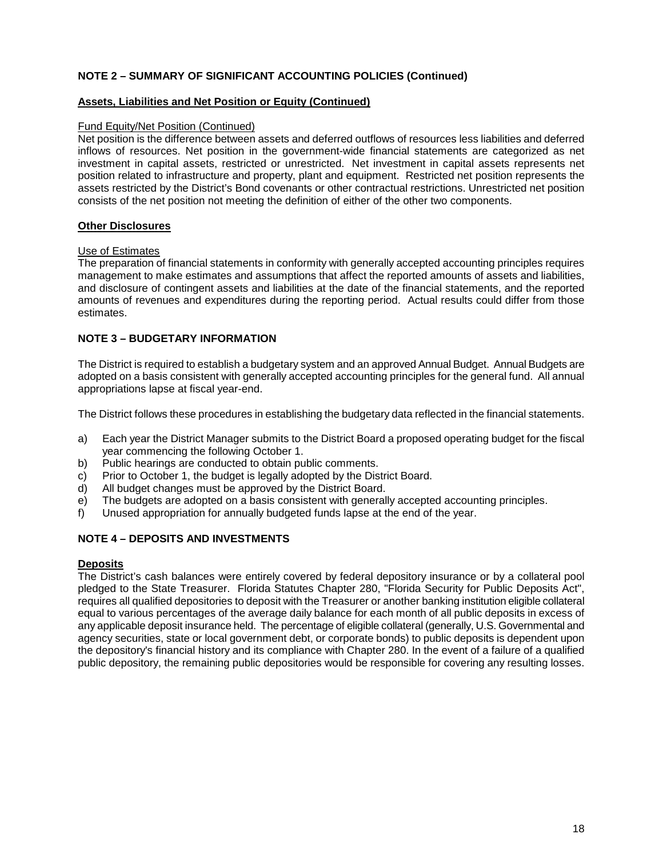## **Assets, Liabilities and Net Position or Equity (Continued)**

### Fund Equity/Net Position (Continued)

Net position is the difference between assets and deferred outflows of resources less liabilities and deferred inflows of resources. Net position in the government-wide financial statements are categorized as net investment in capital assets, restricted or unrestricted. Net investment in capital assets represents net position related to infrastructure and property, plant and equipment. Restricted net position represents the assets restricted by the District's Bond covenants or other contractual restrictions. Unrestricted net position consists of the net position not meeting the definition of either of the other two components.

### **Other Disclosures**

### Use of Estimates

The preparation of financial statements in conformity with generally accepted accounting principles requires management to make estimates and assumptions that affect the reported amounts of assets and liabilities, and disclosure of contingent assets and liabilities at the date of the financial statements, and the reported amounts of revenues and expenditures during the reporting period. Actual results could differ from those estimates.

## **NOTE 3 – BUDGETARY INFORMATION**

The District is required to establish a budgetary system and an approved Annual Budget. Annual Budgets are adopted on a basis consistent with generally accepted accounting principles for the general fund. All annual appropriations lapse at fiscal year-end.

The District follows these procedures in establishing the budgetary data reflected in the financial statements.

- a) Each year the District Manager submits to the District Board a proposed operating budget for the fiscal year commencing the following October 1.
- b) Public hearings are conducted to obtain public comments.
- c) Prior to October 1, the budget is legally adopted by the District Board.
- d) All budget changes must be approved by the District Board.
- e) The budgets are adopted on a basis consistent with generally accepted accounting principles.
- f) Unused appropriation for annually budgeted funds lapse at the end of the year.

## **NOTE 4 – DEPOSITS AND INVESTMENTS**

### **Deposits**

The District's cash balances were entirely covered by federal depository insurance or by a collateral pool pledged to the State Treasurer. Florida Statutes Chapter 280, "Florida Security for Public Deposits Act", requires all qualified depositories to deposit with the Treasurer or another banking institution eligible collateral equal to various percentages of the average daily balance for each month of all public deposits in excess of any applicable deposit insurance held. The percentage of eligible collateral (generally, U.S. Governmental and agency securities, state or local government debt, or corporate bonds) to public deposits is dependent upon the depository's financial history and its compliance with Chapter 280. In the event of a failure of a qualified public depository, the remaining public depositories would be responsible for covering any resulting losses.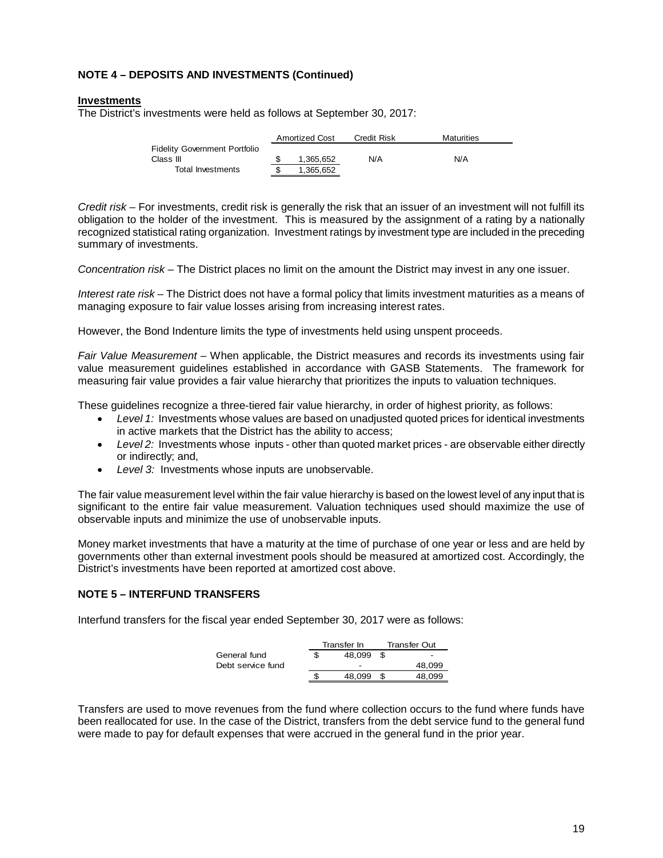# **NOTE 4 – DEPOSITS AND INVESTMENTS (Continued)**

### **Investments**

The District's investments were held as follows at September 30, 2017:

|                                      | <b>Amortized Cost</b> |           | Credit Risk | <b>Maturities</b> |
|--------------------------------------|-----------------------|-----------|-------------|-------------------|
| <b>Fidelity Government Portfolio</b> |                       |           |             |                   |
| Class III                            |                       | 1,365,652 | N/A         | N/A               |
| Total Investments                    |                       | 1,365,652 |             |                   |

*Credit risk –* For investments, credit risk is generally the risk that an issuer of an investment will not fulfill its obligation to the holder of the investment. This is measured by the assignment of a rating by a nationally recognized statistical rating organization. Investment ratings by investment type are included in the preceding summary of investments.

*Concentration risk –* The District places no limit on the amount the District may invest in any one issuer.

*Interest rate risk –* The District does not have a formal policy that limits investment maturities as a means of managing exposure to fair value losses arising from increasing interest rates.

However, the Bond Indenture limits the type of investments held using unspent proceeds.

*Fair Value Measurement –* When applicable, the District measures and records its investments using fair value measurement guidelines established in accordance with GASB Statements. The framework for measuring fair value provides a fair value hierarchy that prioritizes the inputs to valuation techniques.

These guidelines recognize a three-tiered fair value hierarchy, in order of highest priority, as follows:

- *Level 1:* Investments whose values are based on unadjusted quoted prices for identical investments in active markets that the District has the ability to access;
- *Level 2:* Investments whose inputs other than quoted market prices are observable either directly or indirectly; and,
- *Level 3:* Investments whose inputs are unobservable.

The fair value measurement level within the fair value hierarchy is based on the lowest level of any input that is significant to the entire fair value measurement. Valuation techniques used should maximize the use of observable inputs and minimize the use of unobservable inputs.

Money market investments that have a maturity at the time of purchase of one year or less and are held by governments other than external investment pools should be measured at amortized cost. Accordingly, the District's investments have been reported at amortized cost above.

### **NOTE 5 – INTERFUND TRANSFERS**

Interfund transfers for the fiscal year ended September 30, 2017 were as follows:

|                   |    | Transfer In              | <b>Transfer Out</b> |                          |  |
|-------------------|----|--------------------------|---------------------|--------------------------|--|
| General fund      | S  | 48.099                   |                     | $\overline{\phantom{0}}$ |  |
| Debt service fund |    | $\overline{\phantom{0}}$ |                     | 48.099                   |  |
|                   | \$ | 48.099                   |                     | 48.099                   |  |

Transfers are used to move revenues from the fund where collection occurs to the fund where funds have been reallocated for use. In the case of the District, transfers from the debt service fund to the general fund were made to pay for default expenses that were accrued in the general fund in the prior year.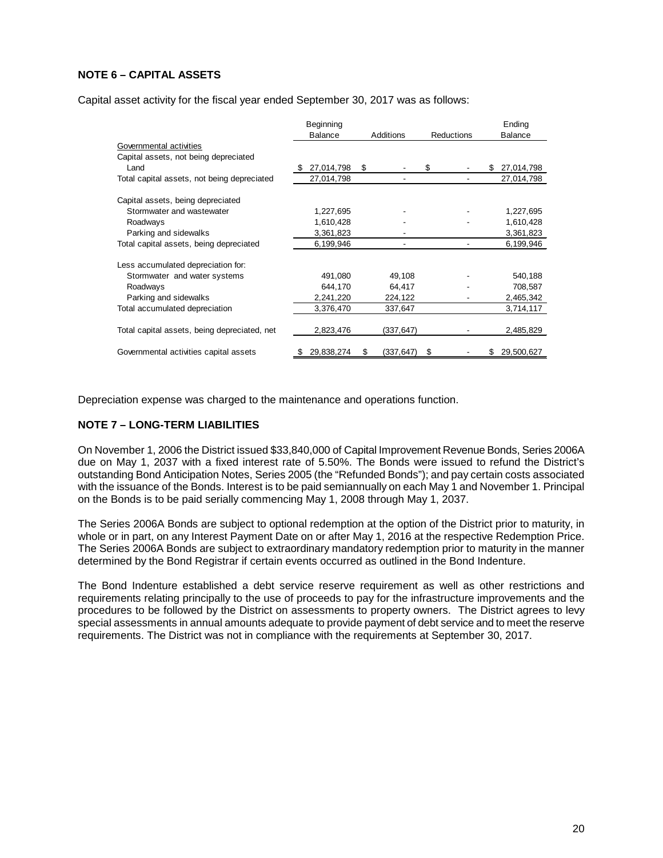## **NOTE 6 – CAPITAL ASSETS**

Capital asset activity for the fiscal year ended September 30, 2017 was as follows:

|                                              | Beginning      |                |            | Ending            |  |
|----------------------------------------------|----------------|----------------|------------|-------------------|--|
|                                              | <b>Balance</b> | Additions      | Reductions | <b>Balance</b>    |  |
| Governmental activities                      |                |                |            |                   |  |
| Capital assets, not being depreciated        |                |                |            |                   |  |
| Land                                         | 27,014,798     | \$             | \$         | 27,014,798<br>\$. |  |
| Total capital assets, not being depreciated  | 27,014,798     |                |            | 27,014,798        |  |
| Capital assets, being depreciated            |                |                |            |                   |  |
| Stormwater and wastewater                    | 1,227,695      |                |            | 1,227,695         |  |
|                                              |                |                |            |                   |  |
| Roadways                                     | 1,610,428      |                |            | 1,610,428         |  |
| Parking and sidewalks                        | 3,361,823      |                |            | 3,361,823         |  |
| Total capital assets, being depreciated      | 6,199,946      |                |            | 6,199,946         |  |
| Less accumulated depreciation for:           |                |                |            |                   |  |
| Stormwater and water systems                 | 491,080        | 49,108         |            | 540,188           |  |
| Roadways                                     | 644,170        | 64,417         |            | 708,587           |  |
| Parking and sidewalks                        | 2,241,220      | 224,122        |            | 2,465,342         |  |
| Total accumulated depreciation               | 3,376,470      | 337,647        |            | 3,714,117         |  |
|                                              |                |                |            |                   |  |
| Total capital assets, being depreciated, net | 2,823,476      | (337,647)      |            | 2,485,829         |  |
| Governmental activities capital assets       | 29,838,274     | (337,647)<br>S | \$         | 29,500,627<br>\$  |  |

Depreciation expense was charged to the maintenance and operations function.

### **NOTE 7 – LONG-TERM LIABILITIES**

On November 1, 2006 the District issued \$33,840,000 of Capital Improvement Revenue Bonds, Series 2006A due on May 1, 2037 with a fixed interest rate of 5.50%. The Bonds were issued to refund the District's outstanding Bond Anticipation Notes, Series 2005 (the "Refunded Bonds"); and pay certain costs associated with the issuance of the Bonds. Interest is to be paid semiannually on each May 1 and November 1. Principal on the Bonds is to be paid serially commencing May 1, 2008 through May 1, 2037.

The Series 2006A Bonds are subject to optional redemption at the option of the District prior to maturity, in whole or in part, on any Interest Payment Date on or after May 1, 2016 at the respective Redemption Price. The Series 2006A Bonds are subject to extraordinary mandatory redemption prior to maturity in the manner determined by the Bond Registrar if certain events occurred as outlined in the Bond Indenture.

The Bond Indenture established a debt service reserve requirement as well as other restrictions and requirements relating principally to the use of proceeds to pay for the infrastructure improvements and the procedures to be followed by the District on assessments to property owners. The District agrees to levy special assessments in annual amounts adequate to provide payment of debt service and to meet the reserve requirements. The District was not in compliance with the requirements at September 30, 2017.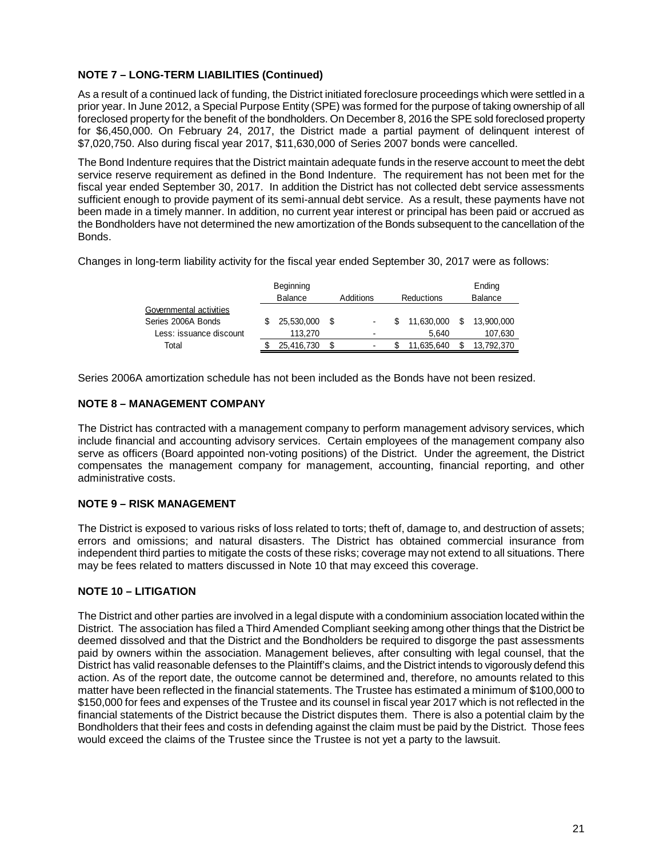# **NOTE 7 – LONG-TERM LIABILITIES (Continued)**

As a result of a continued lack of funding, the District initiated foreclosure proceedings which were settled in a prior year. In June 2012, a Special Purpose Entity (SPE) was formed for the purpose of taking ownership of all foreclosed property for the benefit of the bondholders. On December 8, 2016 the SPE sold foreclosed property for \$6,450,000. On February 24, 2017, the District made a partial payment of delinquent interest of \$7,020,750. Also during fiscal year 2017, \$11,630,000 of Series 2007 bonds were cancelled.

The Bond Indenture requires that the District maintain adequate funds in the reserve account to meet the debt service reserve requirement as defined in the Bond Indenture. The requirement has not been met for the fiscal year ended September 30, 2017. In addition the District has not collected debt service assessments sufficient enough to provide payment of its semi-annual debt service. As a result, these payments have not been made in a timely manner. In addition, no current year interest or principal has been paid or accrued as the Bondholders have not determined the new amortization of the Bonds subsequent to the cancellation of the Bonds.

Changes in long-term liability activity for the fiscal year ended September 30, 2017 were as follows:

|                         |         | Beginning  |           |                |            |            |                | Ending     |
|-------------------------|---------|------------|-----------|----------------|------------|------------|----------------|------------|
|                         | Balance |            | Additions |                | Reductions |            | <b>Balance</b> |            |
| Governmental activities |         |            |           |                |            |            |                |            |
| Series 2006A Bonds      |         | 25,530,000 |           | $\blacksquare$ |            | 11.630.000 |                | 13.900.000 |
| Less: issuance discount |         | 113.270    |           | -              |            | 5.640      |                | 107,630    |
| Total                   |         | 25,416,730 |           |                |            | 11.635.640 |                | 13,792,370 |

Series 2006A amortization schedule has not been included as the Bonds have not been resized.

# **NOTE 8 – MANAGEMENT COMPANY**

The District has contracted with a management company to perform management advisory services, which include financial and accounting advisory services. Certain employees of the management company also serve as officers (Board appointed non-voting positions) of the District. Under the agreement, the District compensates the management company for management, accounting, financial reporting, and other administrative costs.

# **NOTE 9 – RISK MANAGEMENT**

The District is exposed to various risks of loss related to torts; theft of, damage to, and destruction of assets; errors and omissions; and natural disasters. The District has obtained commercial insurance from independent third parties to mitigate the costs of these risks; coverage may not extend to all situations. There may be fees related to matters discussed in Note 10 that may exceed this coverage.

# **NOTE 10 – LITIGATION**

The District and other parties are involved in a legal dispute with a condominium association located within the District. The association has filed a Third Amended Compliant seeking among other things that the District be deemed dissolved and that the District and the Bondholders be required to disgorge the past assessments paid by owners within the association. Management believes, after consulting with legal counsel, that the District has valid reasonable defenses to the Plaintiff's claims, and the District intends to vigorously defend this action. As of the report date, the outcome cannot be determined and, therefore, no amounts related to this matter have been reflected in the financial statements. The Trustee has estimated a minimum of \$100,000 to \$150,000 for fees and expenses of the Trustee and its counsel in fiscal year 2017 which is not reflected in the financial statements of the District because the District disputes them. There is also a potential claim by the Bondholders that their fees and costs in defending against the claim must be paid by the District. Those fees would exceed the claims of the Trustee since the Trustee is not yet a party to the lawsuit.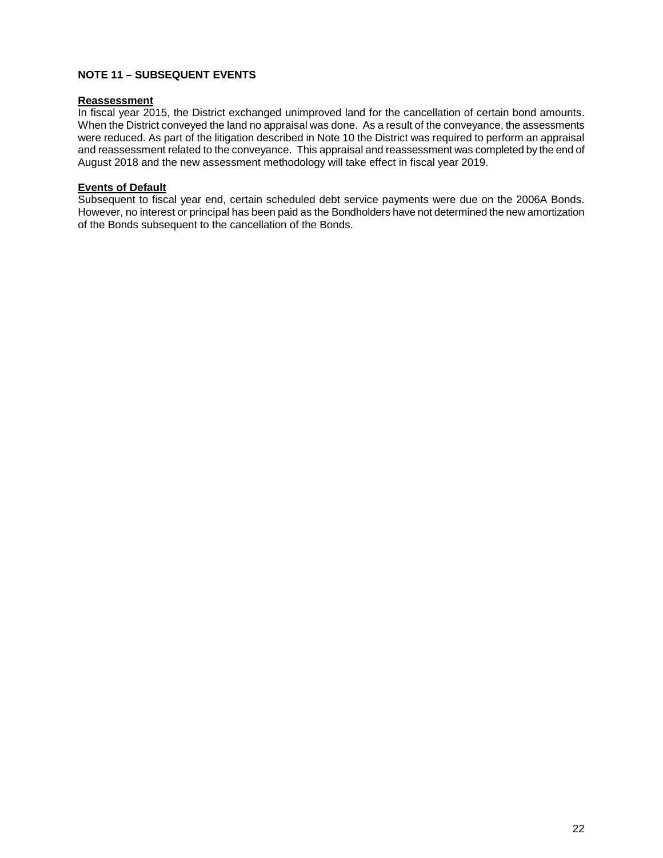# **NOTE 11 – SUBSEQUENT EVENTS**

## **Reassessment**

In fiscal year 2015, the District exchanged unimproved land for the cancellation of certain bond amounts. When the District conveyed the land no appraisal was done. As a result of the conveyance, the assessments were reduced. As part of the litigation described in Note 10 the District was required to perform an appraisal and reassessment related to the conveyance. This appraisal and reassessment was completed by the end of August 2018 and the new assessment methodology will take effect in fiscal year 2019.

### **Events of Default**

Subsequent to fiscal year end, certain scheduled debt service payments were due on the 2006A Bonds. However, no interest or principal has been paid as the Bondholders have not determined the new amortization of the Bonds subsequent to the cancellation of the Bonds.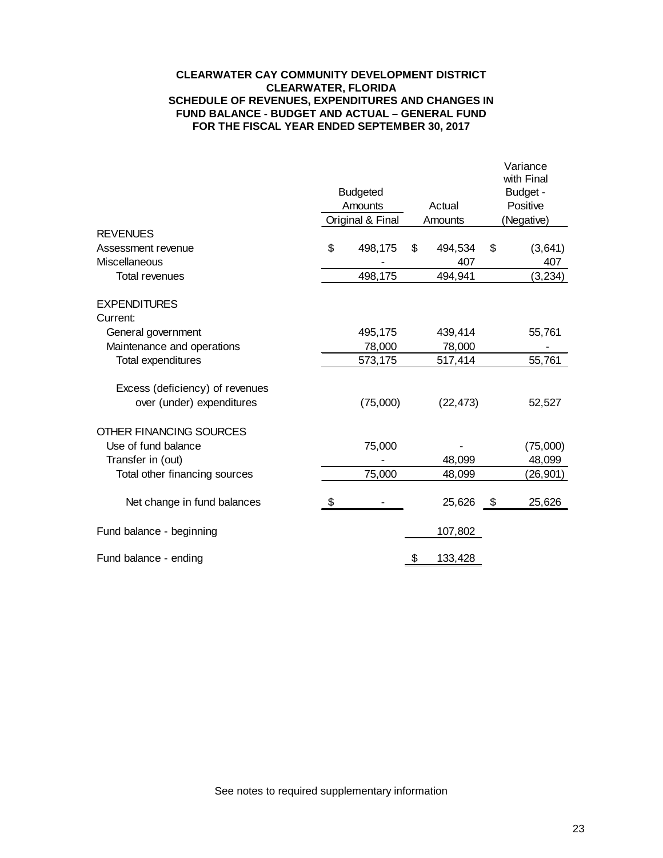## **CLEARWATER CAY COMMUNITY DEVELOPMENT DISTRICT CLEARWATER, FLORIDA SCHEDULE OF REVENUES, EXPENDITURES AND CHANGES IN FUND BALANCE - BUDGET AND ACTUAL – GENERAL FUND FOR THE FISCAL YEAR ENDED SEPTEMBER 30, 2017**

|                                 |                  |          |         |           |               | Variance<br>with Final |  |
|---------------------------------|------------------|----------|---------|-----------|---------------|------------------------|--|
|                                 | <b>Budgeted</b>  |          |         |           | Budget -      |                        |  |
|                                 | Amounts          |          | Actual  |           | Positive      |                        |  |
|                                 | Original & Final |          | Amounts |           | (Negative)    |                        |  |
| <b>REVENUES</b>                 |                  |          |         |           |               |                        |  |
| Assessment revenue              | \$               | 498,175  | \$      | 494,534   | \$            | (3,641)                |  |
| <b>Miscellaneous</b>            |                  |          |         | 407       |               | 407                    |  |
| Total revenues                  |                  | 498,175  |         | 494,941   |               | (3,234)                |  |
| <b>EXPENDITURES</b>             |                  |          |         |           |               |                        |  |
| Current:                        |                  |          |         |           |               |                        |  |
| General government              |                  | 495,175  |         | 439,414   |               | 55,761                 |  |
| Maintenance and operations      |                  | 78,000   |         | 78,000    |               |                        |  |
| Total expenditures              |                  | 573,175  |         | 517,414   |               | 55,761                 |  |
| Excess (deficiency) of revenues |                  |          |         |           |               |                        |  |
| over (under) expenditures       |                  | (75,000) |         | (22, 473) |               | 52,527                 |  |
| OTHER FINANCING SOURCES         |                  |          |         |           |               |                        |  |
| Use of fund balance             |                  | 75,000   |         |           |               | (75,000)               |  |
| Transfer in (out)               |                  |          |         | 48,099    |               | 48,099                 |  |
| Total other financing sources   |                  | 75,000   |         | 48,099    |               | (26,901)               |  |
| Net change in fund balances     | \$               |          |         | 25,626    | $\mathcal{S}$ | 25,626                 |  |
| Fund balance - beginning        |                  |          |         | 107,802   |               |                        |  |
| Fund balance - ending           |                  |          | \$      | 133,428   |               |                        |  |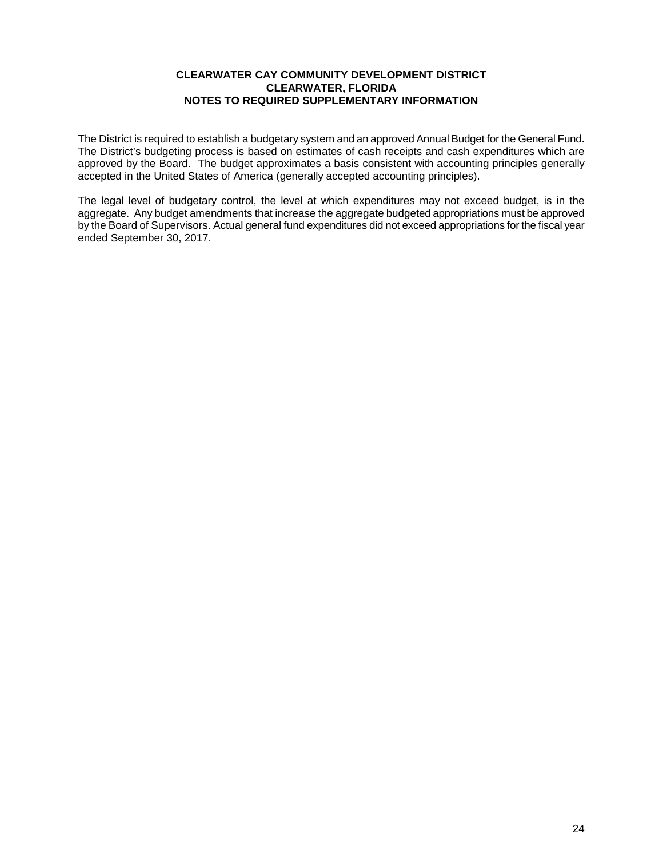## **CLEARWATER CAY COMMUNITY DEVELOPMENT DISTRICT CLEARWATER, FLORIDA NOTES TO REQUIRED SUPPLEMENTARY INFORMATION**

The District is required to establish a budgetary system and an approved Annual Budget for the General Fund. The District's budgeting process is based on estimates of cash receipts and cash expenditures which are approved by the Board. The budget approximates a basis consistent with accounting principles generally accepted in the United States of America (generally accepted accounting principles).

The legal level of budgetary control, the level at which expenditures may not exceed budget, is in the aggregate. Any budget amendments that increase the aggregate budgeted appropriations must be approved by the Board of Supervisors. Actual general fund expenditures did not exceed appropriations for the fiscal year ended September 30, 2017.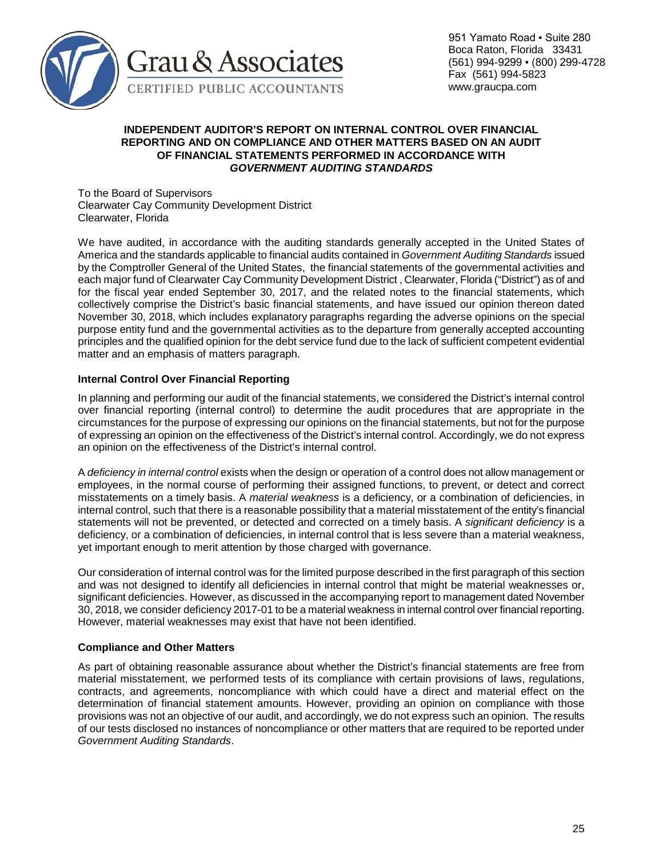

951 Yamato Road . Suite 280 Boca Raton, Florida 33431 (561) 994-9299 ▪ (800) 299-4728 Fax (561) 994-5823 www.graucpa.com

## **INDEPENDENT AUDITOR'S REPORT ON INTERNAL CONTROL OVER FINANCIAL REPORTING AND ON COMPLIANCE AND OTHER MATTERS BASED ON AN AUDIT OF FINANCIAL STATEMENTS PERFORMED IN ACCORDANCE WITH**  *GOVERNMENT AUDITING STANDARDS*

To the Board of Supervisors Clearwater Cay Community Development District Clearwater, Florida

We have audited, in accordance with the auditing standards generally accepted in the United States of America and the standards applicable to financial audits contained in *Government Auditing Standards* issued by the Comptroller General of the United States, the financial statements of the governmental activities and each major fund of Clearwater Cay Community Development District , Clearwater, Florida ("District") as of and for the fiscal year ended September 30, 2017, and the related notes to the financial statements, which collectively comprise the District's basic financial statements, and have issued our opinion thereon dated November 30, 2018, which includes explanatory paragraphs regarding the adverse opinions on the special purpose entity fund and the governmental activities as to the departure from generally accepted accounting principles and the qualified opinion for the debt service fund due to the lack of sufficient competent evidential matter and an emphasis of matters paragraph.

# **Internal Control Over Financial Reporting**

In planning and performing our audit of the financial statements, we considered the District's internal control over financial reporting (internal control) to determine the audit procedures that are appropriate in the circumstances for the purpose of expressing our opinions on the financial statements, but not for the purpose of expressing an opinion on the effectiveness of the District's internal control. Accordingly, we do not express an opinion on the effectiveness of the District's internal control.

A *deficiency in internal control* exists when the design or operation of a control does not allow management or employees, in the normal course of performing their assigned functions, to prevent, or detect and correct misstatements on a timely basis. A *material weakness* is a deficiency, or a combination of deficiencies, in internal control, such that there is a reasonable possibility that a material misstatement of the entity's financial statements will not be prevented, or detected and corrected on a timely basis. A *significant deficiency* is a deficiency, or a combination of deficiencies, in internal control that is less severe than a material weakness, yet important enough to merit attention by those charged with governance.

Our consideration of internal control was for the limited purpose described in the first paragraph of this section and was not designed to identify all deficiencies in internal control that might be material weaknesses or, significant deficiencies. However, as discussed in the accompanying report to management dated November 30, 2018, we consider deficiency 2017-01 to be a material weakness in internal control over financial reporting. However, material weaknesses may exist that have not been identified.

# **Compliance and Other Matters**

As part of obtaining reasonable assurance about whether the District's financial statements are free from material misstatement, we performed tests of its compliance with certain provisions of laws, regulations, contracts, and agreements, noncompliance with which could have a direct and material effect on the determination of financial statement amounts. However, providing an opinion on compliance with those provisions was not an objective of our audit, and accordingly, we do not express such an opinion. The results of our tests disclosed no instances of noncompliance or other matters that are required to be reported under *Government Auditing Standards*.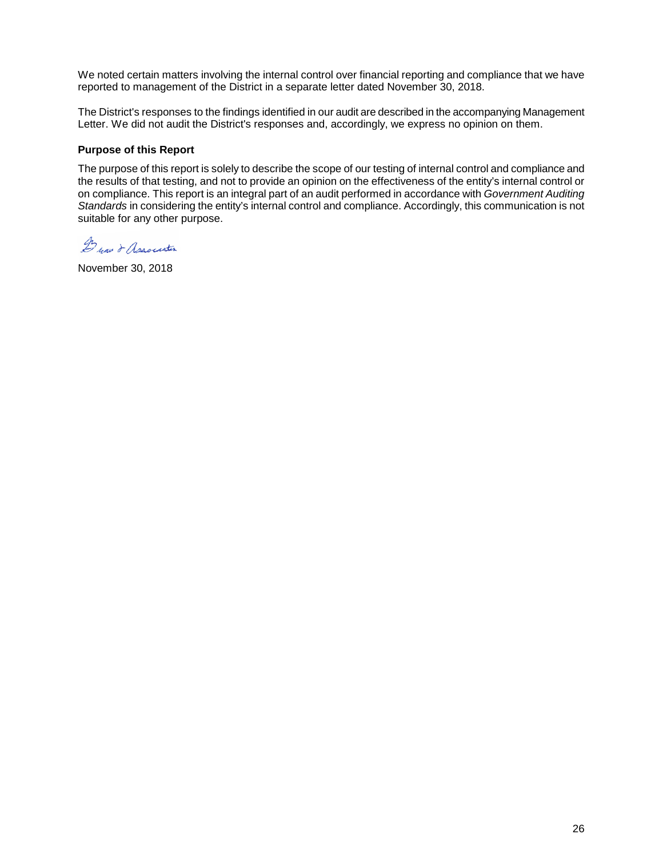We noted certain matters involving the internal control over financial reporting and compliance that we have reported to management of the District in a separate letter dated November 30, 2018.

The District's responses to the findings identified in our audit are described in the accompanying Management Letter. We did not audit the District's responses and, accordingly, we express no opinion on them.

## **Purpose of this Report**

The purpose of this report is solely to describe the scope of our testing of internal control and compliance and the results of that testing, and not to provide an opinion on the effectiveness of the entity's internal control or on compliance. This report is an integral part of an audit performed in accordance with *Government Auditing Standards* in considering the entity's internal control and compliance. Accordingly, this communication is not suitable for any other purpose.

De nav & Association

November 30, 2018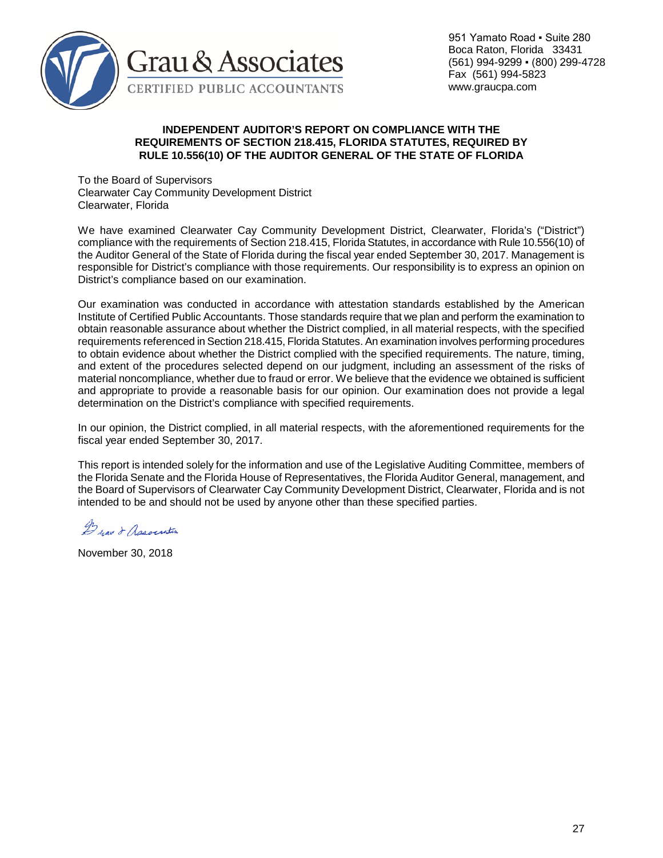

951 Yamato Road . Suite 280 Boca Raton, Florida 33431 (561) 994-9299 ▪ (800) 299-4728 Fax (561) 994-5823 www.graucpa.com

## **INDEPENDENT AUDITOR'S REPORT ON COMPLIANCE WITH THE REQUIREMENTS OF SECTION 218.415, FLORIDA STATUTES, REQUIRED BY RULE 10.556(10) OF THE AUDITOR GENERAL OF THE STATE OF FLORIDA**

To the Board of Supervisors Clearwater Cay Community Development District Clearwater, Florida

We have examined Clearwater Cay Community Development District, Clearwater, Florida's ("District") compliance with the requirements of Section 218.415, Florida Statutes, in accordance with Rule 10.556(10) of the Auditor General of the State of Florida during the fiscal year ended September 30, 2017. Management is responsible for District's compliance with those requirements. Our responsibility is to express an opinion on District's compliance based on our examination.

Our examination was conducted in accordance with attestation standards established by the American Institute of Certified Public Accountants. Those standards require that we plan and perform the examination to obtain reasonable assurance about whether the District complied, in all material respects, with the specified requirements referenced in Section 218.415, Florida Statutes. An examination involves performing procedures to obtain evidence about whether the District complied with the specified requirements. The nature, timing, and extent of the procedures selected depend on our judgment, including an assessment of the risks of material noncompliance, whether due to fraud or error. We believe that the evidence we obtained is sufficient and appropriate to provide a reasonable basis for our opinion. Our examination does not provide a legal determination on the District's compliance with specified requirements.

In our opinion, the District complied, in all material respects, with the aforementioned requirements for the fiscal year ended September 30, 2017.

This report is intended solely for the information and use of the Legislative Auditing Committee, members of the Florida Senate and the Florida House of Representatives, the Florida Auditor General, management, and the Board of Supervisors of Clearwater Cay Community Development District, Clearwater, Florida and is not intended to be and should not be used by anyone other than these specified parties.

Dear & Association

November 30, 2018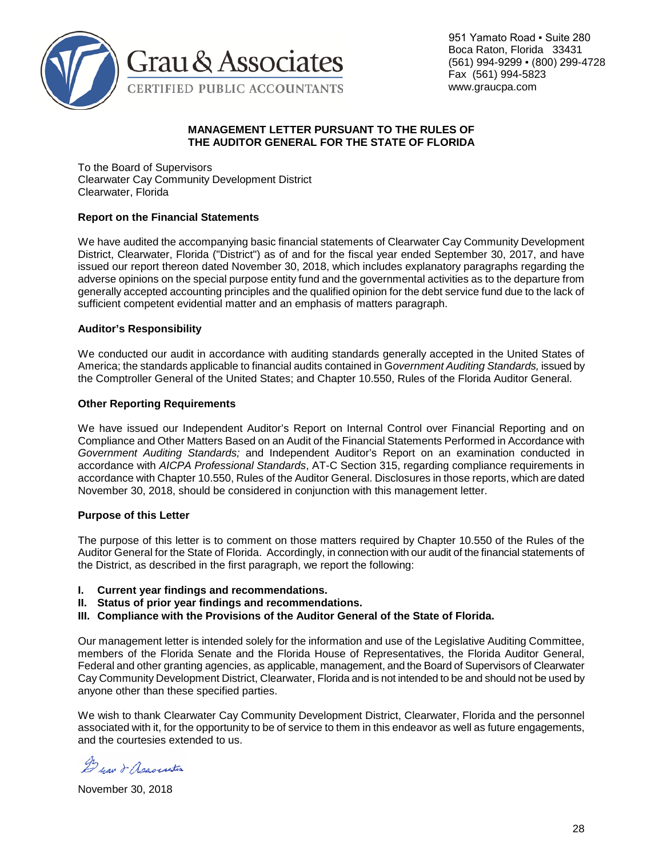

951 Yamato Road . Suite 280 Boca Raton, Florida 33431 (561) 994-9299 ▪ (800) 299-4728 Fax (561) 994-5823 www.graucpa.com

## **MANAGEMENT LETTER PURSUANT TO THE RULES OF THE AUDITOR GENERAL FOR THE STATE OF FLORIDA**

To the Board of Supervisors Clearwater Cay Community Development District Clearwater, Florida

## **Report on the Financial Statements**

We have audited the accompanying basic financial statements of Clearwater Cay Community Development District, Clearwater, Florida ("District") as of and for the fiscal year ended September 30, 2017, and have issued our report thereon dated November 30, 2018, which includes explanatory paragraphs regarding the adverse opinions on the special purpose entity fund and the governmental activities as to the departure from generally accepted accounting principles and the qualified opinion for the debt service fund due to the lack of sufficient competent evidential matter and an emphasis of matters paragraph.

### **Auditor's Responsibility**

We conducted our audit in accordance with auditing standards generally accepted in the United States of America; the standards applicable to financial audits contained in G*overnment Auditing Standards,* issued by the Comptroller General of the United States; and Chapter 10.550, Rules of the Florida Auditor General.

#### **Other Reporting Requirements**

We have issued our Independent Auditor's Report on Internal Control over Financial Reporting and on Compliance and Other Matters Based on an Audit of the Financial Statements Performed in Accordance with *Government Auditing Standards;* and Independent Auditor's Report on an examination conducted in accordance with *AICPA Professional Standards*, AT-C Section 315, regarding compliance requirements in accordance with Chapter 10.550, Rules of the Auditor General. Disclosures in those reports, which are dated November 30, 2018, should be considered in conjunction with this management letter.

### **Purpose of this Letter**

The purpose of this letter is to comment on those matters required by Chapter 10.550 of the Rules of the Auditor General for the State of Florida. Accordingly, in connection with our audit of the financial statements of the District, as described in the first paragraph, we report the following:

- **I. Current year findings and recommendations.**
- **II. Status of prior year findings and recommendations.**
- **III. Compliance with the Provisions of the Auditor General of the State of Florida.**

Our management letter is intended solely for the information and use of the Legislative Auditing Committee, members of the Florida Senate and the Florida House of Representatives, the Florida Auditor General, Federal and other granting agencies, as applicable, management, and the Board of Supervisors of Clearwater Cay Community Development District, Clearwater, Florida and is not intended to be and should not be used by anyone other than these specified parties.

We wish to thank Clearwater Cay Community Development District, Clearwater, Florida and the personnel associated with it, for the opportunity to be of service to them in this endeavor as well as future engagements, and the courtesies extended to us.

Dyan & Association

November 30, 2018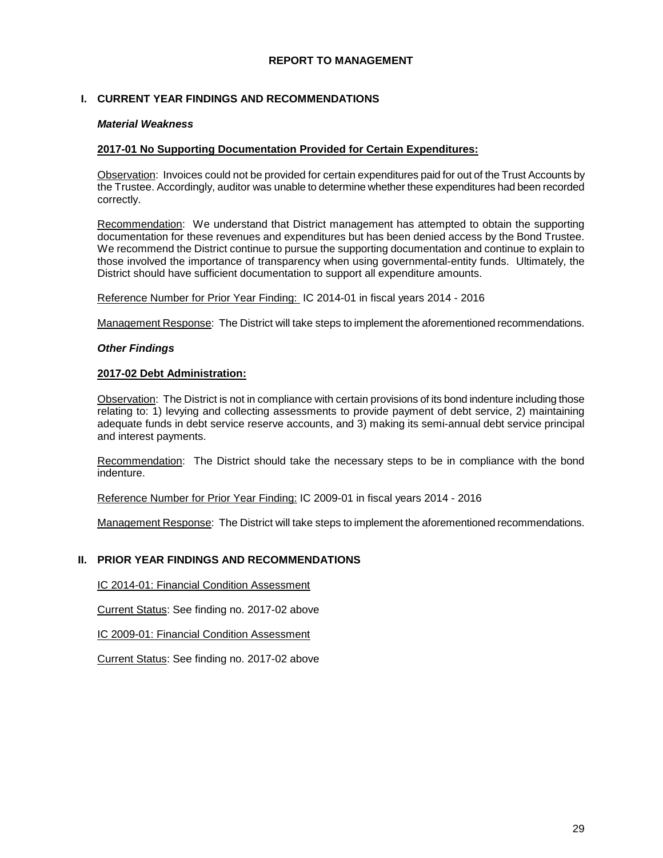## **REPORT TO MANAGEMENT**

## **I. CURRENT YEAR FINDINGS AND RECOMMENDATIONS**

#### *Material Weakness*

#### **2017-01 No Supporting Documentation Provided for Certain Expenditures:**

Observation: Invoices could not be provided for certain expenditures paid for out of the Trust Accounts by the Trustee. Accordingly, auditor was unable to determine whether these expenditures had been recorded correctly.

Recommendation: We understand that District management has attempted to obtain the supporting documentation for these revenues and expenditures but has been denied access by the Bond Trustee. We recommend the District continue to pursue the supporting documentation and continue to explain to those involved the importance of transparency when using governmental-entity funds. Ultimately, the District should have sufficient documentation to support all expenditure amounts.

Reference Number for Prior Year Finding: IC 2014-01 in fiscal years 2014 - 2016

Management Response: The District will take steps to implement the aforementioned recommendations.

#### *Other Findings*

#### **2017-02 Debt Administration:**

Observation: The District is not in compliance with certain provisions of its bond indenture including those relating to: 1) levying and collecting assessments to provide payment of debt service, 2) maintaining adequate funds in debt service reserve accounts, and 3) making its semi-annual debt service principal and interest payments.

Recommendation: The District should take the necessary steps to be in compliance with the bond indenture.

Reference Number for Prior Year Finding: IC 2009-01 in fiscal years 2014 - 2016

Management Response: The District will take steps to implement the aforementioned recommendations.

### **II. PRIOR YEAR FINDINGS AND RECOMMENDATIONS**

IC 2014-01: Financial Condition Assessment

Current Status: See finding no. 2017-02 above

IC 2009-01: Financial Condition Assessment

Current Status: See finding no. 2017-02 above